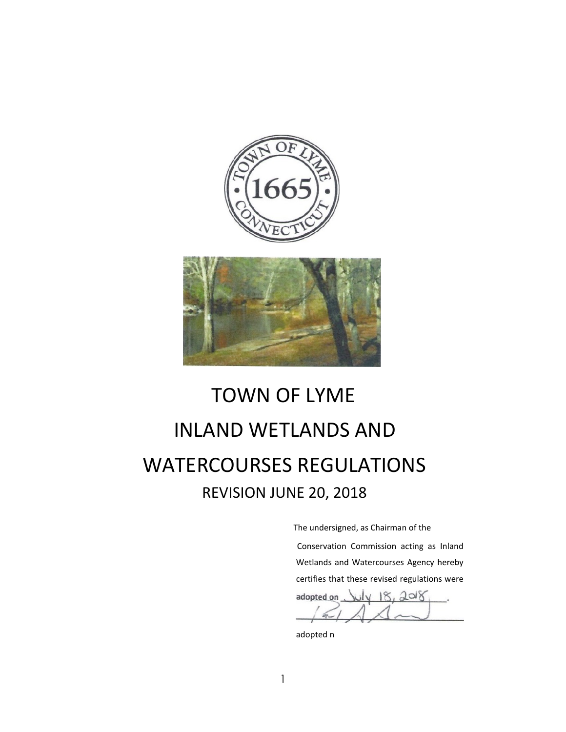

# TOWN OF LYME **INLAND WETLANDS AND** WATERCOURSES REGULATIONS REVISION JUNE 20, 2018

The undersigned, as Chairman of the

Conservation Commission acting as Inland Wetlands and Watercourses Agency hereby certifies that these revised regulations were

adopted on  $N18, 2018$ 

adopted n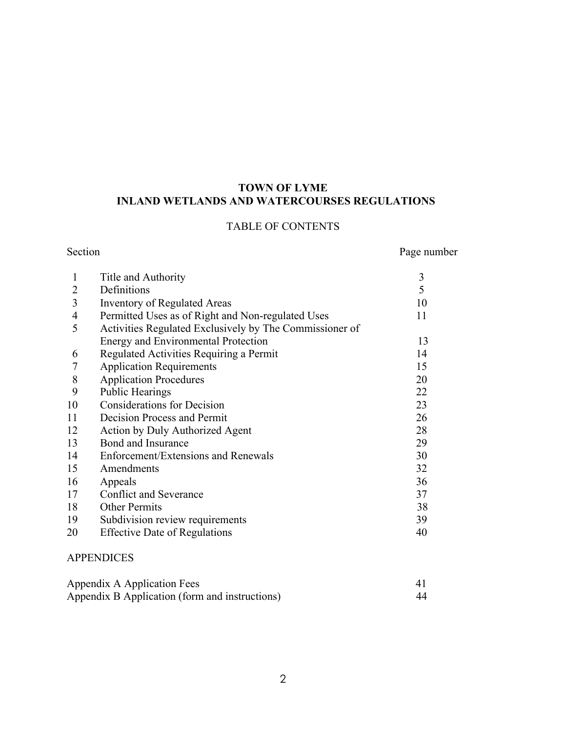# **TOWN OF LYME INLAND WETLANDS AND WATERCOURSES REGULATIONS**

# TABLE OF CONTENTS

Section Page number

| 5<br>Definitions<br>2<br><b>Inventory of Regulated Areas</b><br>3<br>10   |  |
|---------------------------------------------------------------------------|--|
|                                                                           |  |
|                                                                           |  |
| Permitted Uses as of Right and Non-regulated Uses<br>$\overline{4}$<br>11 |  |
| 5<br>Activities Regulated Exclusively by The Commissioner of              |  |
| Energy and Environmental Protection<br>13                                 |  |
| Regulated Activities Requiring a Permit<br>14<br>6                        |  |
| <b>Application Requirements</b><br>15                                     |  |
| 8<br><b>Application Procedures</b><br>20                                  |  |
| 9<br><b>Public Hearings</b><br>22                                         |  |
| <b>Considerations for Decision</b><br>10<br>23                            |  |
| 11<br>Decision Process and Permit<br>26                                   |  |
| 12<br>28<br>Action by Duly Authorized Agent                               |  |
| Bond and Insurance<br>13<br>29                                            |  |
| 14<br>Enforcement/Extensions and Renewals<br>30                           |  |
| 15<br>32<br>Amendments                                                    |  |
| 36<br>16<br>Appeals                                                       |  |
| Conflict and Severance<br>17<br>37                                        |  |
| 18<br><b>Other Permits</b><br>38                                          |  |
| 19<br>Subdivision review requirements<br>39                               |  |
| 20<br><b>Effective Date of Regulations</b><br>40                          |  |

# APPENDICES

| Appendix A Application Fees                    |    |
|------------------------------------------------|----|
| Appendix B Application (form and instructions) | 44 |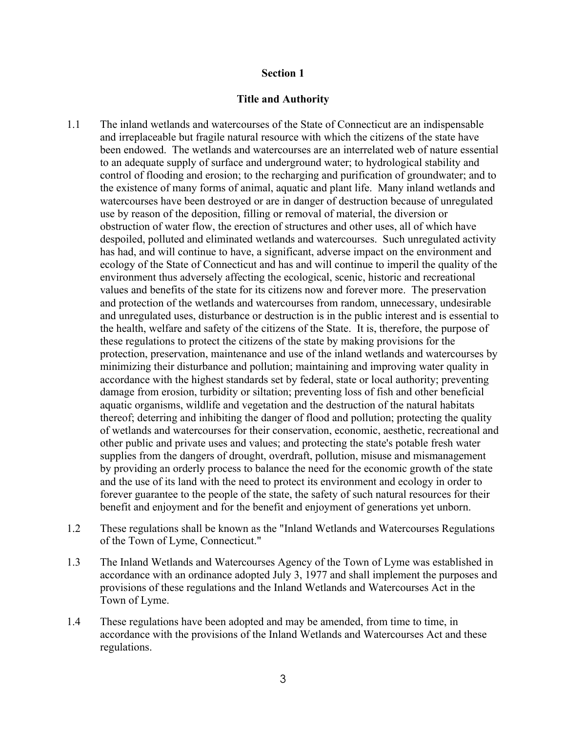#### **Title and Authority**

- 1.1 The inland wetlands and watercourses of the State of Connecticut are an indispensable and irreplaceable but fragile natural resource with which the citizens of the state have been endowed. The wetlands and watercourses are an interrelated web of nature essential to an adequate supply of surface and underground water; to hydrological stability and control of flooding and erosion; to the recharging and purification of groundwater; and to the existence of many forms of animal, aquatic and plant life. Many inland wetlands and watercourses have been destroyed or are in danger of destruction because of unregulated use by reason of the deposition, filling or removal of material, the diversion or obstruction of water flow, the erection of structures and other uses, all of which have despoiled, polluted and eliminated wetlands and watercourses. Such unregulated activity has had, and will continue to have, a significant, adverse impact on the environment and ecology of the State of Connecticut and has and will continue to imperil the quality of the environment thus adversely affecting the ecological, scenic, historic and recreational values and benefits of the state for its citizens now and forever more. The preservation and protection of the wetlands and watercourses from random, unnecessary, undesirable and unregulated uses, disturbance or destruction is in the public interest and is essential to the health, welfare and safety of the citizens of the State. It is, therefore, the purpose of these regulations to protect the citizens of the state by making provisions for the protection, preservation, maintenance and use of the inland wetlands and watercourses by minimizing their disturbance and pollution; maintaining and improving water quality in accordance with the highest standards set by federal, state or local authority; preventing damage from erosion, turbidity or siltation; preventing loss of fish and other beneficial aquatic organisms, wildlife and vegetation and the destruction of the natural habitats thereof; deterring and inhibiting the danger of flood and pollution; protecting the quality of wetlands and watercourses for their conservation, economic, aesthetic, recreational and other public and private uses and values; and protecting the state's potable fresh water supplies from the dangers of drought, overdraft, pollution, misuse and mismanagement by providing an orderly process to balance the need for the economic growth of the state and the use of its land with the need to protect its environment and ecology in order to forever guarantee to the people of the state, the safety of such natural resources for their benefit and enjoyment and for the benefit and enjoyment of generations yet unborn.
- 1.2 These regulations shall be known as the "Inland Wetlands and Watercourses Regulations of the Town of Lyme, Connecticut."
- 1.3 The Inland Wetlands and Watercourses Agency of the Town of Lyme was established in accordance with an ordinance adopted July 3, 1977 and shall implement the purposes and provisions of these regulations and the Inland Wetlands and Watercourses Act in the Town of Lyme.
- 1.4 These regulations have been adopted and may be amended, from time to time, in accordance with the provisions of the Inland Wetlands and Watercourses Act and these regulations.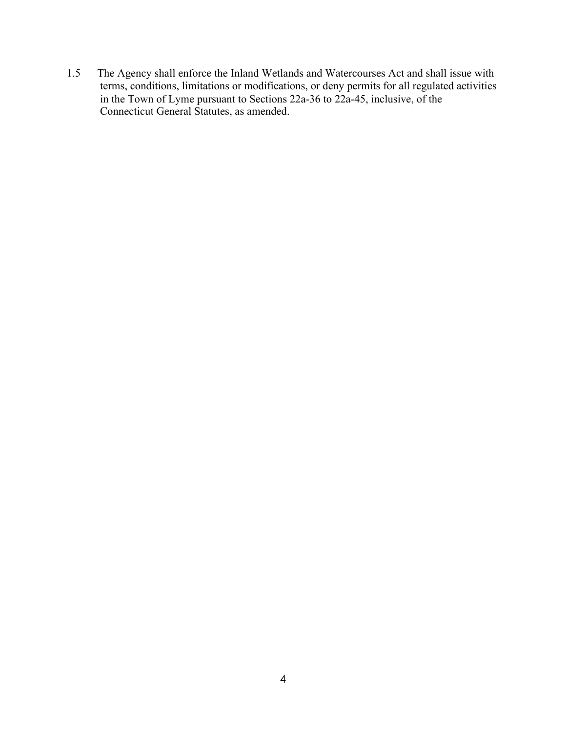1.5 The Agency shall enforce the Inland Wetlands and Watercourses Act and shall issue with terms, conditions, limitations or modifications, or deny permits for all regulated activities in the Town of Lyme pursuant to Sections 22a-36 to 22a-45, inclusive, of the Connecticut General Statutes, as amended.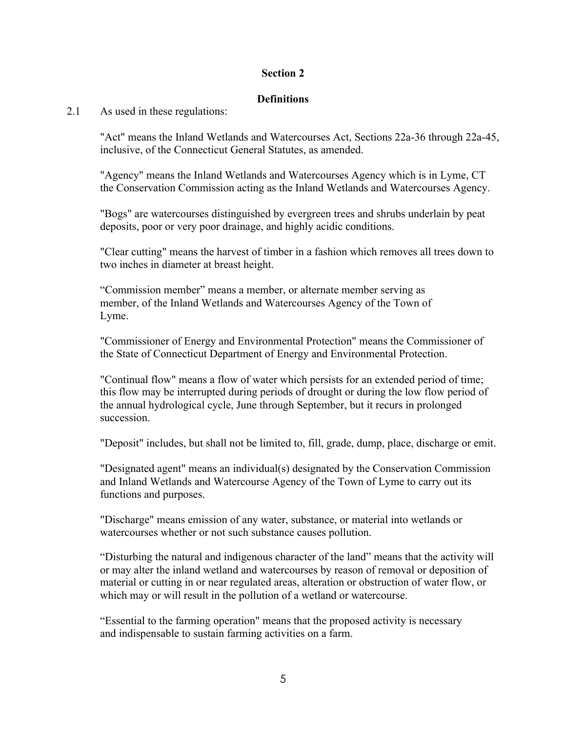# **Definitions**

# 2.1 As used in these regulations:

"Act" means the Inland Wetlands and Watercourses Act, Sections 22a-36 through 22a-45, inclusive, of the Connecticut General Statutes, as amended.

"Agency" means the Inland Wetlands and Watercourses Agency which is in Lyme, CT the Conservation Commission acting as the Inland Wetlands and Watercourses Agency.

"Bogs" are watercourses distinguished by evergreen trees and shrubs underlain by peat deposits, poor or very poor drainage, and highly acidic conditions.

"Clear cutting" means the harvest of timber in a fashion which removes all trees down to two inches in diameter at breast height.

"Commission member" means a member, or alternate member serving as member, of the Inland Wetlands and Watercourses Agency of the Town of Lyme.

"Commissioner of Energy and Environmental Protection" means the Commissioner of the State of Connecticut Department of Energy and Environmental Protection.

"Continual flow" means a flow of water which persists for an extended period of time; this flow may be interrupted during periods of drought or during the low flow period of the annual hydrological cycle, June through September, but it recurs in prolonged succession.

"Deposit" includes, but shall not be limited to, fill, grade, dump, place, discharge or emit.

"Designated agent" means an individual(s) designated by the Conservation Commission and Inland Wetlands and Watercourse Agency of the Town of Lyme to carry out its functions and purposes.

"Discharge" means emission of any water, substance, or material into wetlands or watercourses whether or not such substance causes pollution.

"Disturbing the natural and indigenous character of the land" means that the activity will or may alter the inland wetland and watercourses by reason of removal or deposition of material or cutting in or near regulated areas, alteration or obstruction of water flow, or which may or will result in the pollution of a wetland or watercourse.

"Essential to the farming operation" means that the proposed activity is necessary and indispensable to sustain farming activities on a farm.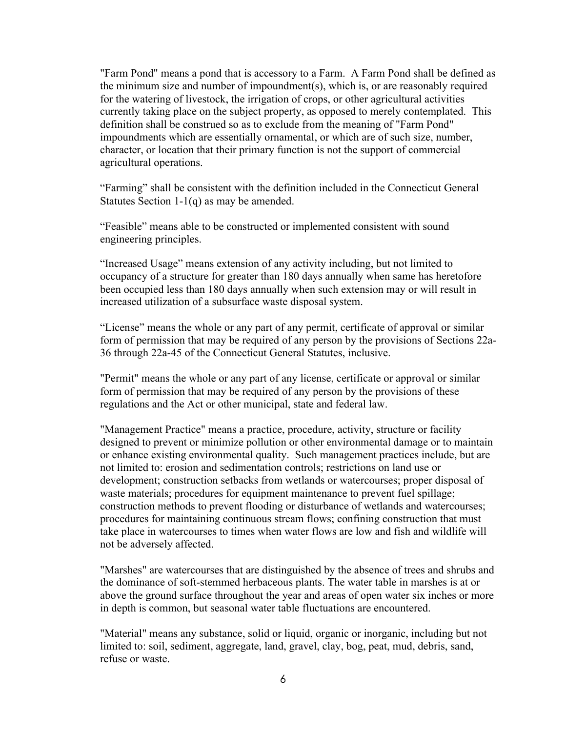"Farm Pond" means a pond that is accessory to a Farm. A Farm Pond shall be defined as the minimum size and number of impoundment(s), which is, or are reasonably required for the watering of livestock, the irrigation of crops, or other agricultural activities currently taking place on the subject property, as opposed to merely contemplated. This definition shall be construed so as to exclude from the meaning of "Farm Pond" impoundments which are essentially ornamental, or which are of such size, number, character, or location that their primary function is not the support of commercial agricultural operations.

"Farming" shall be consistent with the definition included in the Connecticut General Statutes Section 1-1(q) as may be amended.

"Feasible" means able to be constructed or implemented consistent with sound engineering principles.

"Increased Usage" means extension of any activity including, but not limited to occupancy of a structure for greater than 180 days annually when same has heretofore been occupied less than 180 days annually when such extension may or will result in increased utilization of a subsurface waste disposal system.

"License" means the whole or any part of any permit, certificate of approval or similar form of permission that may be required of any person by the provisions of Sections 22a-36 through 22a-45 of the Connecticut General Statutes, inclusive.

"Permit" means the whole or any part of any license, certificate or approval or similar form of permission that may be required of any person by the provisions of these regulations and the Act or other municipal, state and federal law.

"Management Practice" means a practice, procedure, activity, structure or facility designed to prevent or minimize pollution or other environmental damage or to maintain or enhance existing environmental quality. Such management practices include, but are not limited to: erosion and sedimentation controls; restrictions on land use or development; construction setbacks from wetlands or watercourses; proper disposal of waste materials; procedures for equipment maintenance to prevent fuel spillage; construction methods to prevent flooding or disturbance of wetlands and watercourses; procedures for maintaining continuous stream flows; confining construction that must take place in watercourses to times when water flows are low and fish and wildlife will not be adversely affected.

"Marshes" are watercourses that are distinguished by the absence of trees and shrubs and the dominance of soft-stemmed herbaceous plants. The water table in marshes is at or above the ground surface throughout the year and areas of open water six inches or more in depth is common, but seasonal water table fluctuations are encountered.

"Material" means any substance, solid or liquid, organic or inorganic, including but not limited to: soil, sediment, aggregate, land, gravel, clay, bog, peat, mud, debris, sand, refuse or waste.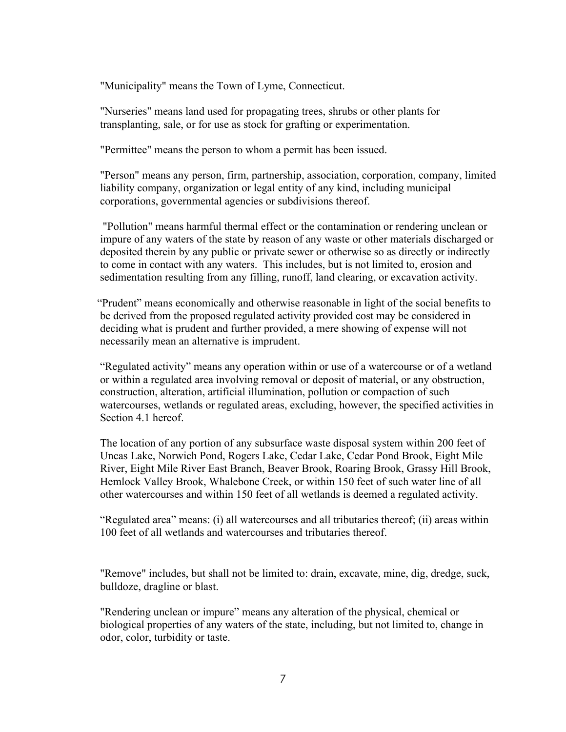"Municipality" means the Town of Lyme, Connecticut.

"Nurseries" means land used for propagating trees, shrubs or other plants for transplanting, sale, or for use as stock for grafting or experimentation.

"Permittee" means the person to whom a permit has been issued.

"Person" means any person, firm, partnership, association, corporation, company, limited liability company, organization or legal entity of any kind, including municipal corporations, governmental agencies or subdivisions thereof.

"Pollution" means harmful thermal effect or the contamination or rendering unclean or impure of any waters of the state by reason of any waste or other materials discharged or deposited therein by any public or private sewer or otherwise so as directly or indirectly to come in contact with any waters. This includes, but is not limited to, erosion and sedimentation resulting from any filling, runoff, land clearing, or excavation activity.

 "Prudent" means economically and otherwise reasonable in light of the social benefits to be derived from the proposed regulated activity provided cost may be considered in deciding what is prudent and further provided, a mere showing of expense will not necessarily mean an alternative is imprudent.

"Regulated activity" means any operation within or use of a watercourse or of a wetland or within a regulated area involving removal or deposit of material, or any obstruction, construction, alteration, artificial illumination, pollution or compaction of such watercourses, wetlands or regulated areas, excluding, however, the specified activities in Section 4.1 hereof.

The location of any portion of any subsurface waste disposal system within 200 feet of Uncas Lake, Norwich Pond, Rogers Lake, Cedar Lake, Cedar Pond Brook, Eight Mile River, Eight Mile River East Branch, Beaver Brook, Roaring Brook, Grassy Hill Brook, Hemlock Valley Brook, Whalebone Creek, or within 150 feet of such water line of all other watercourses and within 150 feet of all wetlands is deemed a regulated activity.

"Regulated area" means: (i) all watercourses and all tributaries thereof; (ii) areas within 100 feet of all wetlands and watercourses and tributaries thereof.

"Remove" includes, but shall not be limited to: drain, excavate, mine, dig, dredge, suck, bulldoze, dragline or blast.

"Rendering unclean or impure" means any alteration of the physical, chemical or biological properties of any waters of the state, including, but not limited to, change in odor, color, turbidity or taste.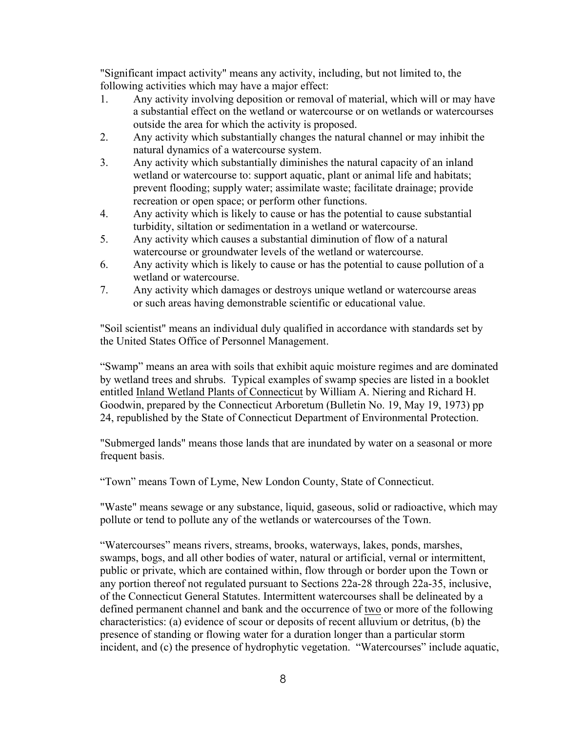"Significant impact activity" means any activity, including, but not limited to, the following activities which may have a major effect:

- 1. Any activity involving deposition or removal of material, which will or may have a substantial effect on the wetland or watercourse or on wetlands or watercourses outside the area for which the activity is proposed.
- 2. Any activity which substantially changes the natural channel or may inhibit the natural dynamics of a watercourse system.
- 3. Any activity which substantially diminishes the natural capacity of an inland wetland or watercourse to: support aquatic, plant or animal life and habitats; prevent flooding; supply water; assimilate waste; facilitate drainage; provide recreation or open space; or perform other functions.
- 4. Any activity which is likely to cause or has the potential to cause substantial turbidity, siltation or sedimentation in a wetland or watercourse.
- 5. Any activity which causes a substantial diminution of flow of a natural watercourse or groundwater levels of the wetland or watercourse.
- 6. Any activity which is likely to cause or has the potential to cause pollution of a wetland or watercourse.
- 7. Any activity which damages or destroys unique wetland or watercourse areas or such areas having demonstrable scientific or educational value.

"Soil scientist" means an individual duly qualified in accordance with standards set by the United States Office of Personnel Management.

"Swamp" means an area with soils that exhibit aquic moisture regimes and are dominated by wetland trees and shrubs. Typical examples of swamp species are listed in a booklet entitled Inland Wetland Plants of Connecticut by William A. Niering and Richard H. Goodwin, prepared by the Connecticut Arboretum (Bulletin No. 19, May 19, 1973) pp 24, republished by the State of Connecticut Department of Environmental Protection.

"Submerged lands" means those lands that are inundated by water on a seasonal or more frequent basis.

"Town" means Town of Lyme, New London County, State of Connecticut.

"Waste" means sewage or any substance, liquid, gaseous, solid or radioactive, which may pollute or tend to pollute any of the wetlands or watercourses of the Town.

"Watercourses" means rivers, streams, brooks, waterways, lakes, ponds, marshes, swamps, bogs, and all other bodies of water, natural or artificial, vernal or intermittent, public or private, which are contained within, flow through or border upon the Town or any portion thereof not regulated pursuant to Sections 22a-28 through 22a-35, inclusive, of the Connecticut General Statutes. Intermittent watercourses shall be delineated by a defined permanent channel and bank and the occurrence of two or more of the following characteristics: (a) evidence of scour or deposits of recent alluvium or detritus, (b) the presence of standing or flowing water for a duration longer than a particular storm incident, and (c) the presence of hydrophytic vegetation. "Watercourses" include aquatic,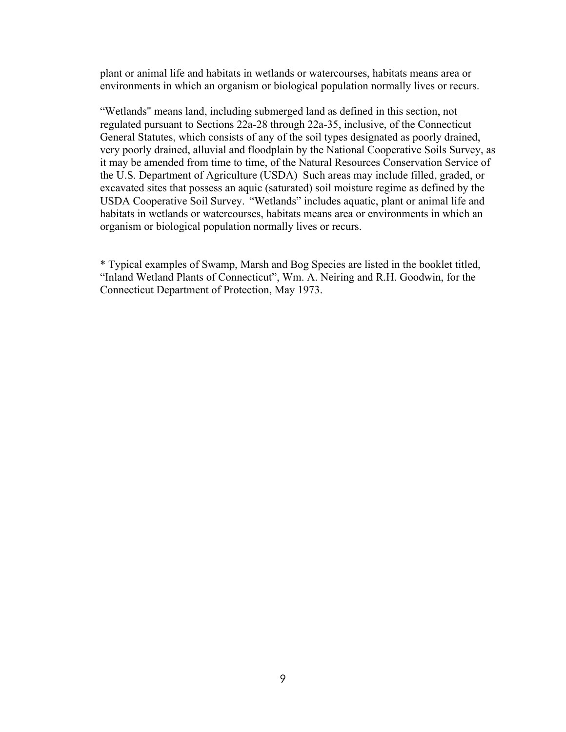plant or animal life and habitats in wetlands or watercourses, habitats means area or environments in which an organism or biological population normally lives or recurs.

"Wetlands" means land, including submerged land as defined in this section, not regulated pursuant to Sections 22a-28 through 22a-35, inclusive, of the Connecticut General Statutes, which consists of any of the soil types designated as poorly drained, very poorly drained, alluvial and floodplain by the National Cooperative Soils Survey, as it may be amended from time to time, of the Natural Resources Conservation Service of the U.S. Department of Agriculture (USDA) Such areas may include filled, graded, or excavated sites that possess an aquic (saturated) soil moisture regime as defined by the USDA Cooperative Soil Survey. "Wetlands" includes aquatic, plant or animal life and habitats in wetlands or watercourses, habitats means area or environments in which an organism or biological population normally lives or recurs.

\* Typical examples of Swamp, Marsh and Bog Species are listed in the booklet titled, "Inland Wetland Plants of Connecticut", Wm. A. Neiring and R.H. Goodwin, for the Connecticut Department of Protection, May 1973.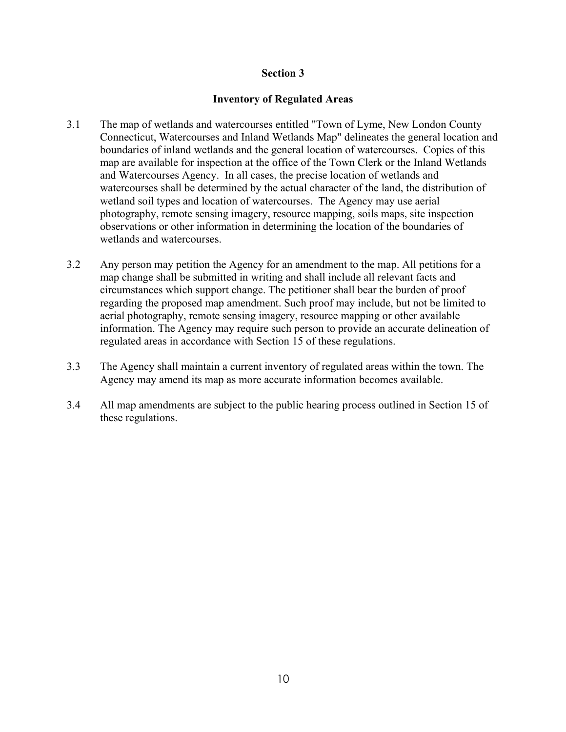# **Inventory of Regulated Areas**

- 3.1 The map of wetlands and watercourses entitled "Town of Lyme, New London County Connecticut, Watercourses and Inland Wetlands Map" delineates the general location and boundaries of inland wetlands and the general location of watercourses. Copies of this map are available for inspection at the office of the Town Clerk or the Inland Wetlands and Watercourses Agency. In all cases, the precise location of wetlands and watercourses shall be determined by the actual character of the land, the distribution of wetland soil types and location of watercourses. The Agency may use aerial photography, remote sensing imagery, resource mapping, soils maps, site inspection observations or other information in determining the location of the boundaries of wetlands and watercourses.
- 3.2 Any person may petition the Agency for an amendment to the map. All petitions for a map change shall be submitted in writing and shall include all relevant facts and circumstances which support change. The petitioner shall bear the burden of proof regarding the proposed map amendment. Such proof may include, but not be limited to aerial photography, remote sensing imagery, resource mapping or other available information. The Agency may require such person to provide an accurate delineation of regulated areas in accordance with Section 15 of these regulations.
- 3.3 The Agency shall maintain a current inventory of regulated areas within the town. The Agency may amend its map as more accurate information becomes available.
- 3.4 All map amendments are subject to the public hearing process outlined in Section 15 of these regulations.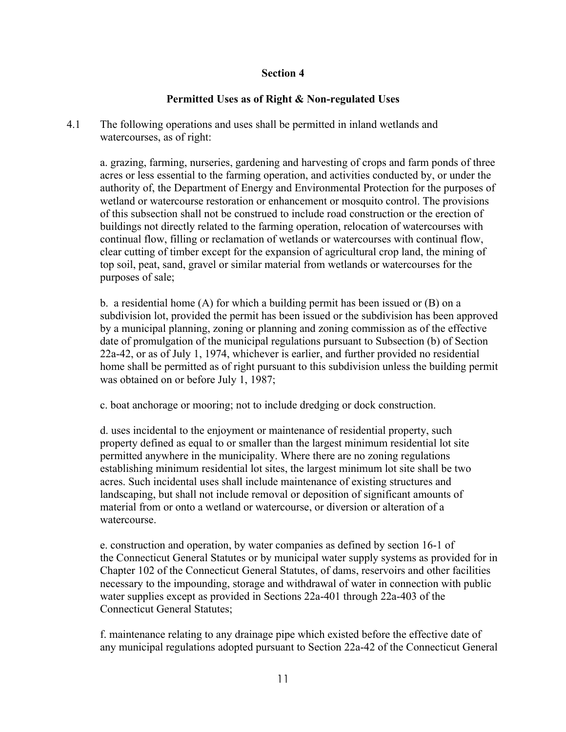# **Permitted Uses as of Right & Non-regulated Uses**

4.1 The following operations and uses shall be permitted in inland wetlands and watercourses, as of right:

a. grazing, farming, nurseries, gardening and harvesting of crops and farm ponds of three acres or less essential to the farming operation, and activities conducted by, or under the authority of, the Department of Energy and Environmental Protection for the purposes of wetland or watercourse restoration or enhancement or mosquito control. The provisions of this subsection shall not be construed to include road construction or the erection of buildings not directly related to the farming operation, relocation of watercourses with continual flow, filling or reclamation of wetlands or watercourses with continual flow, clear cutting of timber except for the expansion of agricultural crop land, the mining of top soil, peat, sand, gravel or similar material from wetlands or watercourses for the purposes of sale;

b. a residential home (A) for which a building permit has been issued or (B) on a subdivision lot, provided the permit has been issued or the subdivision has been approved by a municipal planning, zoning or planning and zoning commission as of the effective date of promulgation of the municipal regulations pursuant to Subsection (b) of Section 22a-42, or as of July 1, 1974, whichever is earlier, and further provided no residential home shall be permitted as of right pursuant to this subdivision unless the building permit was obtained on or before July 1, 1987;

c. boat anchorage or mooring; not to include dredging or dock construction.

d. uses incidental to the enjoyment or maintenance of residential property, such property defined as equal to or smaller than the largest minimum residential lot site permitted anywhere in the municipality. Where there are no zoning regulations establishing minimum residential lot sites, the largest minimum lot site shall be two acres. Such incidental uses shall include maintenance of existing structures and landscaping, but shall not include removal or deposition of significant amounts of material from or onto a wetland or watercourse, or diversion or alteration of a watercourse.

e. construction and operation, by water companies as defined by section 16-1 of the Connecticut General Statutes or by municipal water supply systems as provided for in Chapter 102 of the Connecticut General Statutes, of dams, reservoirs and other facilities necessary to the impounding, storage and withdrawal of water in connection with public water supplies except as provided in Sections 22a-401 through 22a-403 of the Connecticut General Statutes;

f. maintenance relating to any drainage pipe which existed before the effective date of any municipal regulations adopted pursuant to Section 22a-42 of the Connecticut General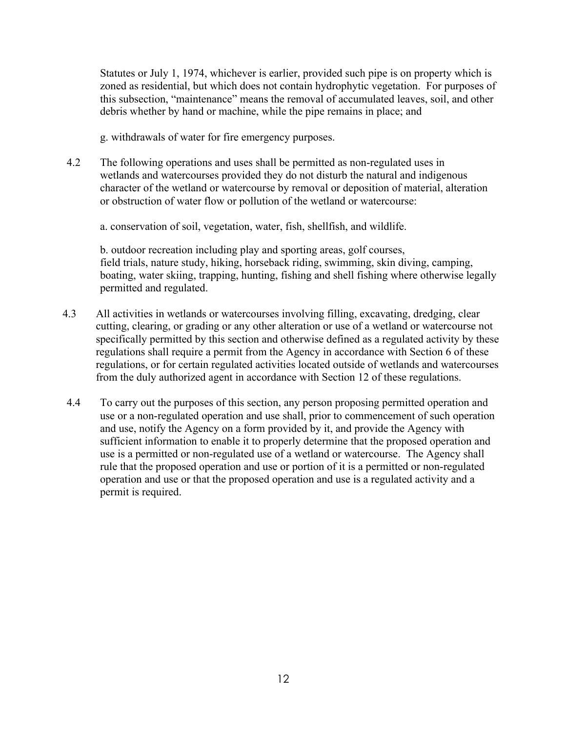Statutes or July 1, 1974, whichever is earlier, provided such pipe is on property which is zoned as residential, but which does not contain hydrophytic vegetation. For purposes of this subsection, "maintenance" means the removal of accumulated leaves, soil, and other debris whether by hand or machine, while the pipe remains in place; and

g. withdrawals of water for fire emergency purposes.

4.2 The following operations and uses shall be permitted as non-regulated uses in wetlands and watercourses provided they do not disturb the natural and indigenous character of the wetland or watercourse by removal or deposition of material, alteration or obstruction of water flow or pollution of the wetland or watercourse:

a. conservation of soil, vegetation, water, fish, shellfish, and wildlife.

b. outdoor recreation including play and sporting areas, golf courses, field trials, nature study, hiking, horseback riding, swimming, skin diving, camping, boating, water skiing, trapping, hunting, fishing and shell fishing where otherwise legally permitted and regulated.

- 4.3 All activities in wetlands or watercourses involving filling, excavating, dredging, clear cutting, clearing, or grading or any other alteration or use of a wetland or watercourse not specifically permitted by this section and otherwise defined as a regulated activity by these regulations shall require a permit from the Agency in accordance with Section 6 of these regulations, or for certain regulated activities located outside of wetlands and watercourses from the duly authorized agent in accordance with Section 12 of these regulations.
- 4.4 To carry out the purposes of this section, any person proposing permitted operation and use or a non-regulated operation and use shall, prior to commencement of such operation and use, notify the Agency on a form provided by it, and provide the Agency with sufficient information to enable it to properly determine that the proposed operation and use is a permitted or non-regulated use of a wetland or watercourse. The Agency shall rule that the proposed operation and use or portion of it is a permitted or non-regulated operation and use or that the proposed operation and use is a regulated activity and a permit is required.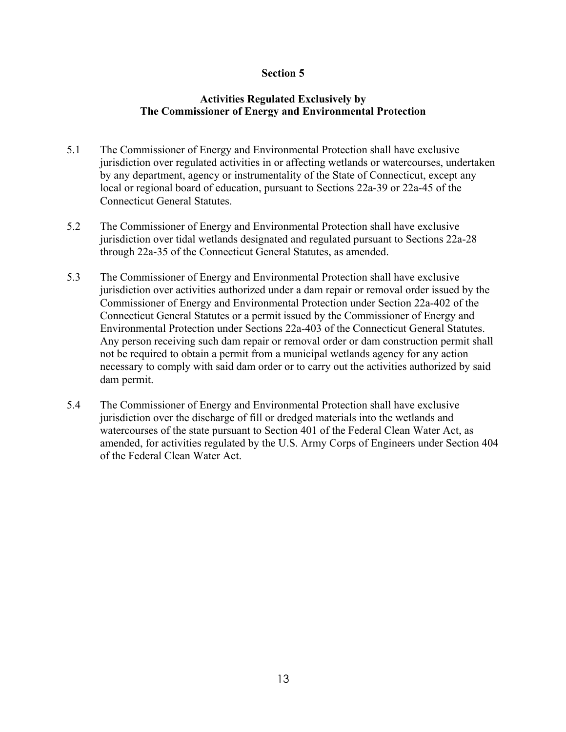# **Activities Regulated Exclusively by The Commissioner of Energy and Environmental Protection**

- 5.1 The Commissioner of Energy and Environmental Protection shall have exclusive jurisdiction over regulated activities in or affecting wetlands or watercourses, undertaken by any department, agency or instrumentality of the State of Connecticut, except any local or regional board of education, pursuant to Sections 22a-39 or 22a-45 of the Connecticut General Statutes.
- 5.2 The Commissioner of Energy and Environmental Protection shall have exclusive jurisdiction over tidal wetlands designated and regulated pursuant to Sections 22a-28 through 22a-35 of the Connecticut General Statutes, as amended.
- 5.3 The Commissioner of Energy and Environmental Protection shall have exclusive jurisdiction over activities authorized under a dam repair or removal order issued by the Commissioner of Energy and Environmental Protection under Section 22a-402 of the Connecticut General Statutes or a permit issued by the Commissioner of Energy and Environmental Protection under Sections 22a-403 of the Connecticut General Statutes. Any person receiving such dam repair or removal order or dam construction permit shall not be required to obtain a permit from a municipal wetlands agency for any action necessary to comply with said dam order or to carry out the activities authorized by said dam permit.
- 5.4 The Commissioner of Energy and Environmental Protection shall have exclusive jurisdiction over the discharge of fill or dredged materials into the wetlands and watercourses of the state pursuant to Section 401 of the Federal Clean Water Act, as amended, for activities regulated by the U.S. Army Corps of Engineers under Section 404 of the Federal Clean Water Act.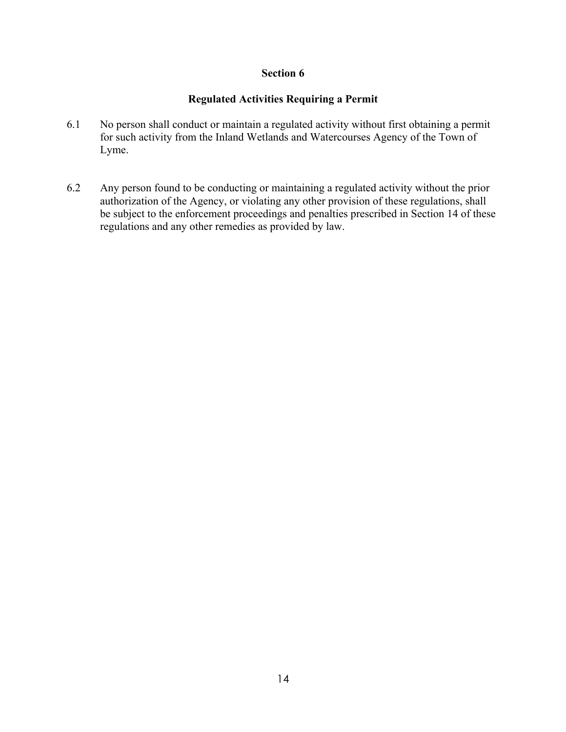# **Regulated Activities Requiring a Permit**

- 6.1 No person shall conduct or maintain a regulated activity without first obtaining a permit for such activity from the Inland Wetlands and Watercourses Agency of the Town of Lyme.
- 6.2 Any person found to be conducting or maintaining a regulated activity without the prior authorization of the Agency, or violating any other provision of these regulations, shall be subject to the enforcement proceedings and penalties prescribed in Section 14 of these regulations and any other remedies as provided by law.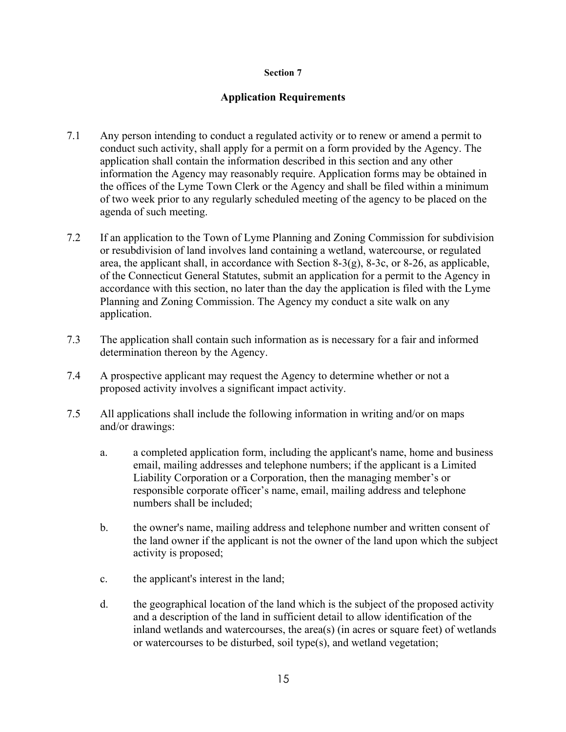# **Application Requirements**

- 7.1 Any person intending to conduct a regulated activity or to renew or amend a permit to conduct such activity, shall apply for a permit on a form provided by the Agency. The application shall contain the information described in this section and any other information the Agency may reasonably require. Application forms may be obtained in the offices of the Lyme Town Clerk or the Agency and shall be filed within a minimum of two week prior to any regularly scheduled meeting of the agency to be placed on the agenda of such meeting.
- 7.2 If an application to the Town of Lyme Planning and Zoning Commission for subdivision or resubdivision of land involves land containing a wetland, watercourse, or regulated area, the applicant shall, in accordance with Section 8-3(g), 8-3c, or 8-26, as applicable, of the Connecticut General Statutes, submit an application for a permit to the Agency in accordance with this section, no later than the day the application is filed with the Lyme Planning and Zoning Commission. The Agency my conduct a site walk on any application.
- 7.3 The application shall contain such information as is necessary for a fair and informed determination thereon by the Agency.
- 7.4 A prospective applicant may request the Agency to determine whether or not a proposed activity involves a significant impact activity.
- 7.5 All applications shall include the following information in writing and/or on maps and/or drawings:
	- a. a completed application form, including the applicant's name, home and business email, mailing addresses and telephone numbers; if the applicant is a Limited Liability Corporation or a Corporation, then the managing member's or responsible corporate officer's name, email, mailing address and telephone numbers shall be included;
	- b. the owner's name, mailing address and telephone number and written consent of the land owner if the applicant is not the owner of the land upon which the subject activity is proposed;
	- c. the applicant's interest in the land;
	- d. the geographical location of the land which is the subject of the proposed activity and a description of the land in sufficient detail to allow identification of the inland wetlands and watercourses, the area(s) (in acres or square feet) of wetlands or watercourses to be disturbed, soil type(s), and wetland vegetation;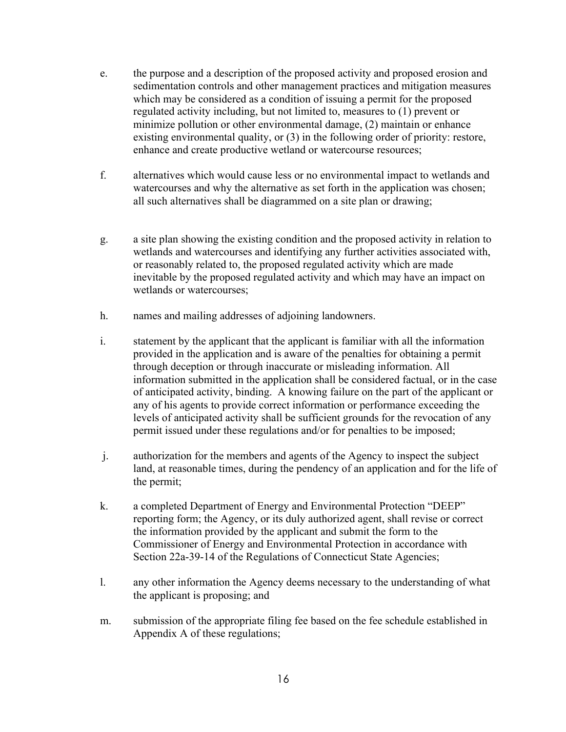- e. the purpose and a description of the proposed activity and proposed erosion and sedimentation controls and other management practices and mitigation measures which may be considered as a condition of issuing a permit for the proposed regulated activity including, but not limited to, measures to (1) prevent or minimize pollution or other environmental damage, (2) maintain or enhance existing environmental quality, or (3) in the following order of priority: restore, enhance and create productive wetland or watercourse resources;
- f. alternatives which would cause less or no environmental impact to wetlands and watercourses and why the alternative as set forth in the application was chosen; all such alternatives shall be diagrammed on a site plan or drawing;
- g. a site plan showing the existing condition and the proposed activity in relation to wetlands and watercourses and identifying any further activities associated with, or reasonably related to, the proposed regulated activity which are made inevitable by the proposed regulated activity and which may have an impact on wetlands or watercourses;
- h. names and mailing addresses of adjoining landowners.
- i. statement by the applicant that the applicant is familiar with all the information provided in the application and is aware of the penalties for obtaining a permit through deception or through inaccurate or misleading information. All information submitted in the application shall be considered factual, or in the case of anticipated activity, binding. A knowing failure on the part of the applicant or any of his agents to provide correct information or performance exceeding the levels of anticipated activity shall be sufficient grounds for the revocation of any permit issued under these regulations and/or for penalties to be imposed;
- j. authorization for the members and agents of the Agency to inspect the subject land, at reasonable times, during the pendency of an application and for the life of the permit;
- k. a completed Department of Energy and Environmental Protection "DEEP" reporting form; the Agency, or its duly authorized agent, shall revise or correct the information provided by the applicant and submit the form to the Commissioner of Energy and Environmental Protection in accordance with Section 22a-39-14 of the Regulations of Connecticut State Agencies;
- l. any other information the Agency deems necessary to the understanding of what the applicant is proposing; and
- m. submission of the appropriate filing fee based on the fee schedule established in Appendix A of these regulations;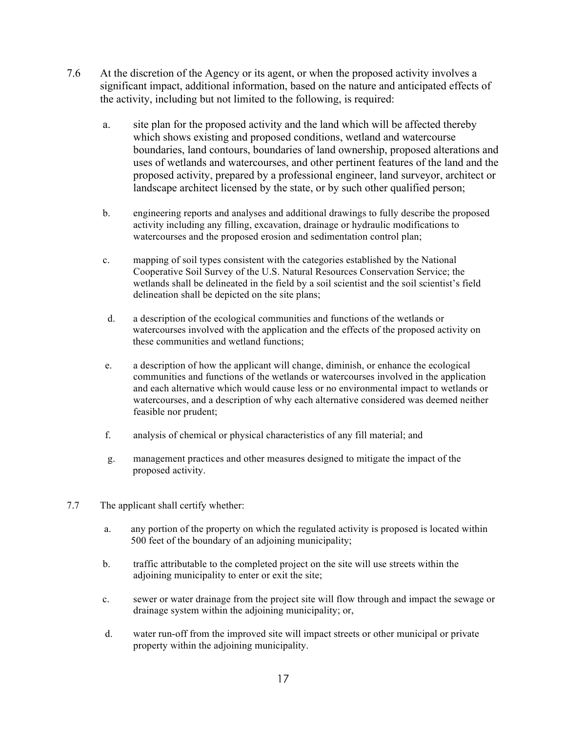- 7.6 At the discretion of the Agency or its agent, or when the proposed activity involves a significant impact, additional information, based on the nature and anticipated effects of the activity, including but not limited to the following, is required:
	- a. site plan for the proposed activity and the land which will be affected thereby which shows existing and proposed conditions, wetland and watercourse boundaries, land contours, boundaries of land ownership, proposed alterations and uses of wetlands and watercourses, and other pertinent features of the land and the proposed activity, prepared by a professional engineer, land surveyor, architect or landscape architect licensed by the state, or by such other qualified person;
	- b. engineering reports and analyses and additional drawings to fully describe the proposed activity including any filling, excavation, drainage or hydraulic modifications to watercourses and the proposed erosion and sedimentation control plan;
	- c. mapping of soil types consistent with the categories established by the National Cooperative Soil Survey of the U.S. Natural Resources Conservation Service; the wetlands shall be delineated in the field by a soil scientist and the soil scientist's field delineation shall be depicted on the site plans;
	- d. a description of the ecological communities and functions of the wetlands or watercourses involved with the application and the effects of the proposed activity on these communities and wetland functions;
	- e. a description of how the applicant will change, diminish, or enhance the ecological communities and functions of the wetlands or watercourses involved in the application and each alternative which would cause less or no environmental impact to wetlands or watercourses, and a description of why each alternative considered was deemed neither feasible nor prudent;
	- f. analysis of chemical or physical characteristics of any fill material; and
	- g. management practices and other measures designed to mitigate the impact of the proposed activity.
- 7.7 The applicant shall certify whether:
	- a. any portion of the property on which the regulated activity is proposed is located within 500 feet of the boundary of an adjoining municipality;
	- b. traffic attributable to the completed project on the site will use streets within the adjoining municipality to enter or exit the site;
	- c. sewer or water drainage from the project site will flow through and impact the sewage or drainage system within the adjoining municipality; or,
	- d. water run-off from the improved site will impact streets or other municipal or private property within the adjoining municipality.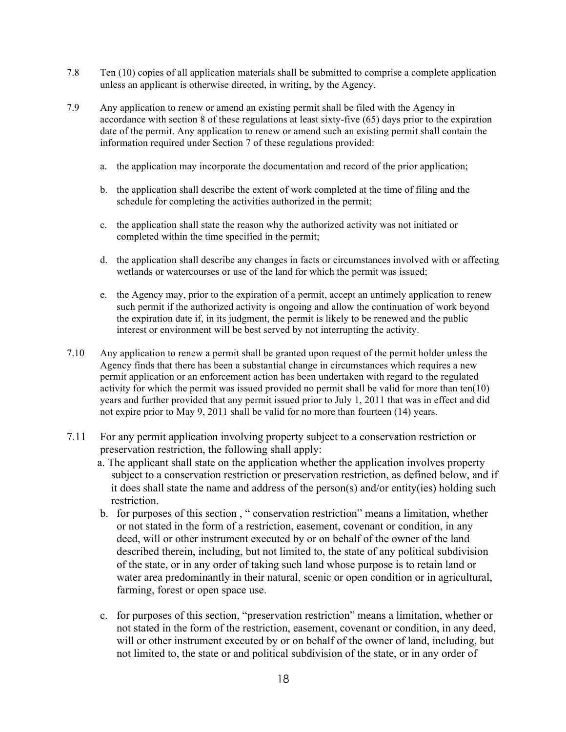- 7.8 Ten (10) copies of all application materials shall be submitted to comprise a complete application unless an applicant is otherwise directed, in writing, by the Agency.
- 7.9 Any application to renew or amend an existing permit shall be filed with the Agency in accordance with section 8 of these regulations at least sixty-five (65) days prior to the expiration date of the permit. Any application to renew or amend such an existing permit shall contain the information required under Section 7 of these regulations provided:
	- a. the application may incorporate the documentation and record of the prior application;
	- b. the application shall describe the extent of work completed at the time of filing and the schedule for completing the activities authorized in the permit;
	- c. the application shall state the reason why the authorized activity was not initiated or completed within the time specified in the permit;
	- d. the application shall describe any changes in facts or circumstances involved with or affecting wetlands or watercourses or use of the land for which the permit was issued;
	- e. the Agency may, prior to the expiration of a permit, accept an untimely application to renew such permit if the authorized activity is ongoing and allow the continuation of work beyond the expiration date if, in its judgment, the permit is likely to be renewed and the public interest or environment will be best served by not interrupting the activity.
- 7.10 Any application to renew a permit shall be granted upon request of the permit holder unless the Agency finds that there has been a substantial change in circumstances which requires a new permit application or an enforcement action has been undertaken with regard to the regulated activity for which the permit was issued provided no permit shall be valid for more than ten(10) years and further provided that any permit issued prior to July 1, 2011 that was in effect and did not expire prior to May 9, 2011 shall be valid for no more than fourteen (14) years.
- 7.11 For any permit application involving property subject to a conservation restriction or preservation restriction, the following shall apply:
	- a. The applicant shall state on the application whether the application involves property subject to a conservation restriction or preservation restriction, as defined below, and if it does shall state the name and address of the person(s) and/or entity(ies) holding such restriction.
	- b. for purposes of this section , " conservation restriction" means a limitation, whether or not stated in the form of a restriction, easement, covenant or condition, in any deed, will or other instrument executed by or on behalf of the owner of the land described therein, including, but not limited to, the state of any political subdivision of the state, or in any order of taking such land whose purpose is to retain land or water area predominantly in their natural, scenic or open condition or in agricultural, farming, forest or open space use.
	- c. for purposes of this section, "preservation restriction" means a limitation, whether or not stated in the form of the restriction, easement, covenant or condition, in any deed, will or other instrument executed by or on behalf of the owner of land, including, but not limited to, the state or and political subdivision of the state, or in any order of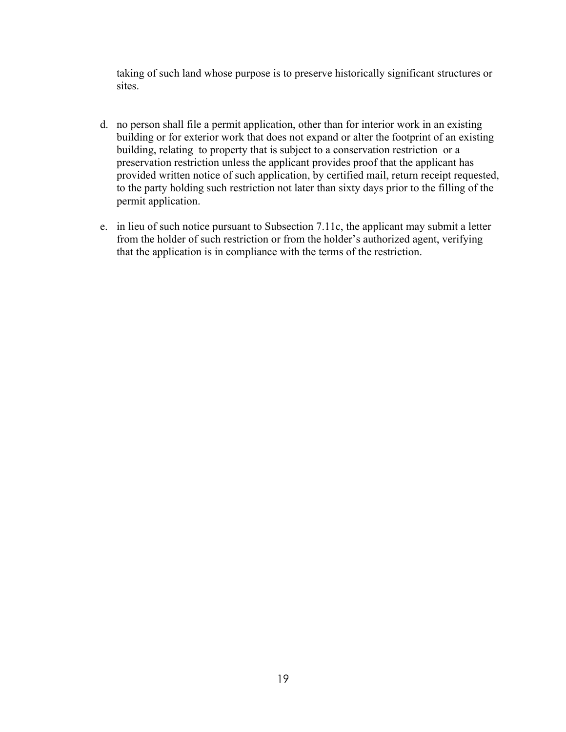taking of such land whose purpose is to preserve historically significant structures or sites.

- d. no person shall file a permit application, other than for interior work in an existing building or for exterior work that does not expand or alter the footprint of an existing building, relating to property that is subject to a conservation restriction or a preservation restriction unless the applicant provides proof that the applicant has provided written notice of such application, by certified mail, return receipt requested, to the party holding such restriction not later than sixty days prior to the filling of the permit application.
- e. in lieu of such notice pursuant to Subsection 7.11c, the applicant may submit a letter from the holder of such restriction or from the holder's authorized agent, verifying that the application is in compliance with the terms of the restriction.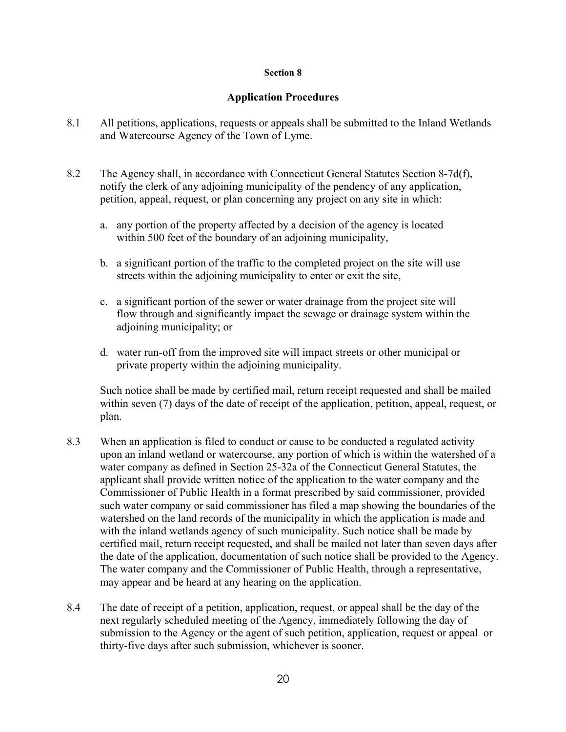# **Application Procedures**

- 8.1 All petitions, applications, requests or appeals shall be submitted to the Inland Wetlands and Watercourse Agency of the Town of Lyme.
- 8.2 The Agency shall, in accordance with Connecticut General Statutes Section 8-7d(f), notify the clerk of any adjoining municipality of the pendency of any application, petition, appeal, request, or plan concerning any project on any site in which:
	- a. any portion of the property affected by a decision of the agency is located within 500 feet of the boundary of an adjoining municipality,
	- b. a significant portion of the traffic to the completed project on the site will use streets within the adjoining municipality to enter or exit the site,
	- c. a significant portion of the sewer or water drainage from the project site will flow through and significantly impact the sewage or drainage system within the adjoining municipality; or
	- d. water run-off from the improved site will impact streets or other municipal or private property within the adjoining municipality.

Such notice shall be made by certified mail, return receipt requested and shall be mailed within seven (7) days of the date of receipt of the application, petition, appeal, request, or plan.

- 8.3 When an application is filed to conduct or cause to be conducted a regulated activity upon an inland wetland or watercourse, any portion of which is within the watershed of a water company as defined in Section 25-32a of the Connecticut General Statutes, the applicant shall provide written notice of the application to the water company and the Commissioner of Public Health in a format prescribed by said commissioner, provided such water company or said commissioner has filed a map showing the boundaries of the watershed on the land records of the municipality in which the application is made and with the inland wetlands agency of such municipality. Such notice shall be made by certified mail, return receipt requested, and shall be mailed not later than seven days after the date of the application, documentation of such notice shall be provided to the Agency. The water company and the Commissioner of Public Health, through a representative, may appear and be heard at any hearing on the application.
- 8.4 The date of receipt of a petition, application, request, or appeal shall be the day of the next regularly scheduled meeting of the Agency, immediately following the day of submission to the Agency or the agent of such petition, application, request or appeal or thirty-five days after such submission, whichever is sooner.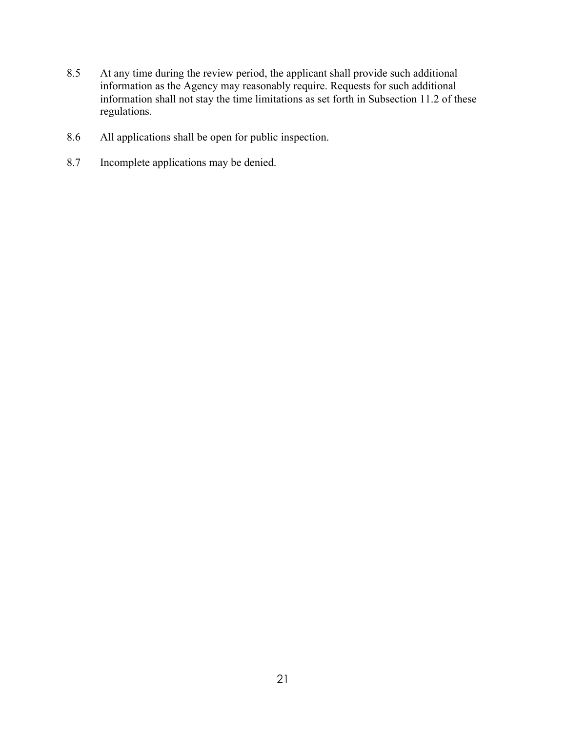- 8.5 At any time during the review period, the applicant shall provide such additional information as the Agency may reasonably require. Requests for such additional information shall not stay the time limitations as set forth in Subsection 11.2 of these regulations.
- 8.6 All applications shall be open for public inspection.
- 8.7 Incomplete applications may be denied.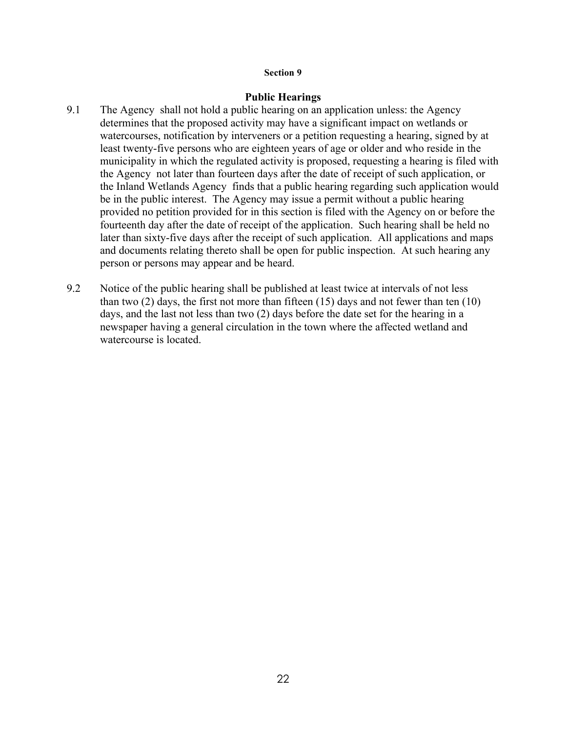#### **Public Hearings**

- 9.1 The Agency shall not hold a public hearing on an application unless: the Agency determines that the proposed activity may have a significant impact on wetlands or watercourses, notification by interveners or a petition requesting a hearing, signed by at least twenty-five persons who are eighteen years of age or older and who reside in the municipality in which the regulated activity is proposed, requesting a hearing is filed with the Agency not later than fourteen days after the date of receipt of such application, or the Inland Wetlands Agency finds that a public hearing regarding such application would be in the public interest. The Agency may issue a permit without a public hearing provided no petition provided for in this section is filed with the Agency on or before the fourteenth day after the date of receipt of the application. Such hearing shall be held no later than sixty-five days after the receipt of such application. All applications and maps and documents relating thereto shall be open for public inspection. At such hearing any person or persons may appear and be heard.
- 9.2 Notice of the public hearing shall be published at least twice at intervals of not less than two  $(2)$  days, the first not more than fifteen  $(15)$  days and not fewer than ten  $(10)$ days, and the last not less than two (2) days before the date set for the hearing in a newspaper having a general circulation in the town where the affected wetland and watercourse is located.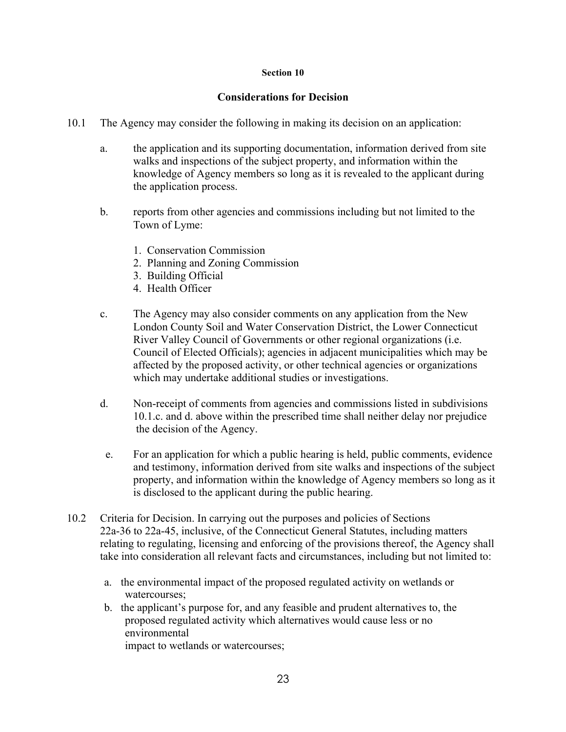## **Considerations for Decision**

- 10.1 The Agency may consider the following in making its decision on an application:
	- a. the application and its supporting documentation, information derived from site walks and inspections of the subject property, and information within the knowledge of Agency members so long as it is revealed to the applicant during the application process.
	- b. reports from other agencies and commissions including but not limited to the Town of Lyme:
		- 1. Conservation Commission
		- 2. Planning and Zoning Commission
		- 3. Building Official
		- 4. Health Officer
	- c. The Agency may also consider comments on any application from the New London County Soil and Water Conservation District, the Lower Connecticut River Valley Council of Governments or other regional organizations (i.e. Council of Elected Officials); agencies in adjacent municipalities which may be affected by the proposed activity, or other technical agencies or organizations which may undertake additional studies or investigations.
	- d. Non-receipt of comments from agencies and commissions listed in subdivisions 10.1.c. and d. above within the prescribed time shall neither delay nor prejudice the decision of the Agency.
	- e. For an application for which a public hearing is held, public comments, evidence and testimony, information derived from site walks and inspections of the subject property, and information within the knowledge of Agency members so long as it is disclosed to the applicant during the public hearing.
- 10.2 Criteria for Decision. In carrying out the purposes and policies of Sections 22a-36 to 22a-45, inclusive, of the Connecticut General Statutes, including matters relating to regulating, licensing and enforcing of the provisions thereof, the Agency shall take into consideration all relevant facts and circumstances, including but not limited to:
	- a. the environmental impact of the proposed regulated activity on wetlands or watercourses;
	- b. the applicant's purpose for, and any feasible and prudent alternatives to, the proposed regulated activity which alternatives would cause less or no environmental impact to wetlands or watercourses;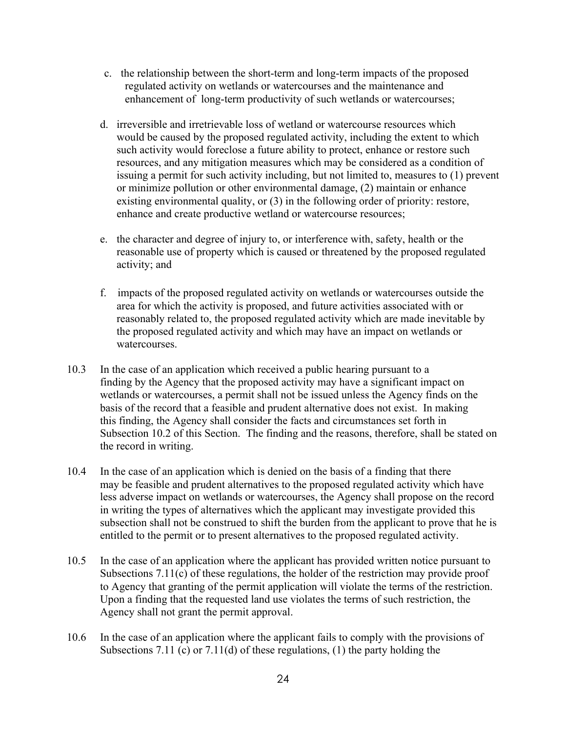- c. the relationship between the short-term and long-term impacts of the proposed regulated activity on wetlands or watercourses and the maintenance and enhancement of long-term productivity of such wetlands or watercourses;
- d. irreversible and irretrievable loss of wetland or watercourse resources which would be caused by the proposed regulated activity, including the extent to which such activity would foreclose a future ability to protect, enhance or restore such resources, and any mitigation measures which may be considered as a condition of issuing a permit for such activity including, but not limited to, measures to (1) prevent or minimize pollution or other environmental damage, (2) maintain or enhance existing environmental quality, or (3) in the following order of priority: restore, enhance and create productive wetland or watercourse resources;
- e. the character and degree of injury to, or interference with, safety, health or the reasonable use of property which is caused or threatened by the proposed regulated activity; and
- f. impacts of the proposed regulated activity on wetlands or watercourses outside the area for which the activity is proposed, and future activities associated with or reasonably related to, the proposed regulated activity which are made inevitable by the proposed regulated activity and which may have an impact on wetlands or watercourses.
- 10.3 In the case of an application which received a public hearing pursuant to a finding by the Agency that the proposed activity may have a significant impact on wetlands or watercourses, a permit shall not be issued unless the Agency finds on the basis of the record that a feasible and prudent alternative does not exist. In making this finding, the Agency shall consider the facts and circumstances set forth in Subsection 10.2 of this Section. The finding and the reasons, therefore, shall be stated on the record in writing.
- 10.4 In the case of an application which is denied on the basis of a finding that there may be feasible and prudent alternatives to the proposed regulated activity which have less adverse impact on wetlands or watercourses, the Agency shall propose on the record in writing the types of alternatives which the applicant may investigate provided this subsection shall not be construed to shift the burden from the applicant to prove that he is entitled to the permit or to present alternatives to the proposed regulated activity.
- 10.5 In the case of an application where the applicant has provided written notice pursuant to Subsections 7.11(c) of these regulations, the holder of the restriction may provide proof to Agency that granting of the permit application will violate the terms of the restriction. Upon a finding that the requested land use violates the terms of such restriction, the Agency shall not grant the permit approval.
- 10.6 In the case of an application where the applicant fails to comply with the provisions of Subsections 7.11 (c) or 7.11(d) of these regulations, (1) the party holding the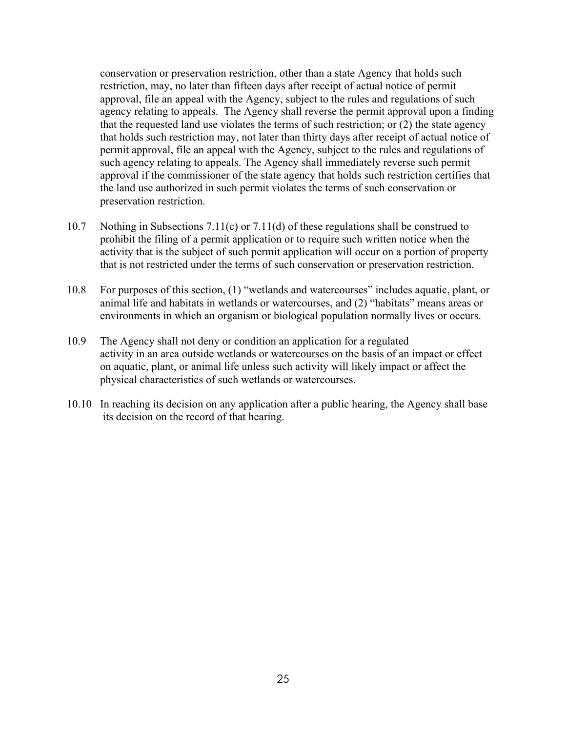conservation or preservation restriction, other than a state Agency that holds such restriction, may, no later than fifteen days after receipt of actual notice of permit approval, file an appeal with the Agency, subject to the rules and regulations of such agency relating to appeals. The Agency shall reverse the permit approval upon a finding that the requested land use violates the terms of such restriction; or (2) the state agency that holds such restriction may, not later than thirty days after receipt of actual notice of permit approval, file an appeal with the Agency, subject to the rules and regulations of such agency relating to appeals. The Agency shall immediately reverse such permit approval if the commissioner of the state agency that holds such restriction certifies that the land use authorized in such permit violates the terms of such conservation or preservation restriction.

- 10.7 Nothing in Subsections 7.11(c) or 7.11(d) of these regulations shall be construed to prohibit the filing of a permit application or to require such written notice when the activity that is the subject of such permit application will occur on a portion of property that is not restricted under the terms of such conservation or preservation restriction.
- 10.8 For purposes of this section, (1) "wetlands and watercourses" includes aquatic, plant, or animal life and habitats in wetlands or watercourses, and (2) "habitats" means areas or environments in which an organism or biological population normally lives or occurs.
- 10.9 The Agency shall not deny or condition an application for a regulated activity in an area outside wetlands or watercourses on the basis of an impact or effect on aquatic, plant, or animal life unless such activity will likely impact or affect the physical characteristics of such wetlands or watercourses.
- 10.10 In reaching its decision on any application after a public hearing, the Agency shall base its decision on the record of that hearing.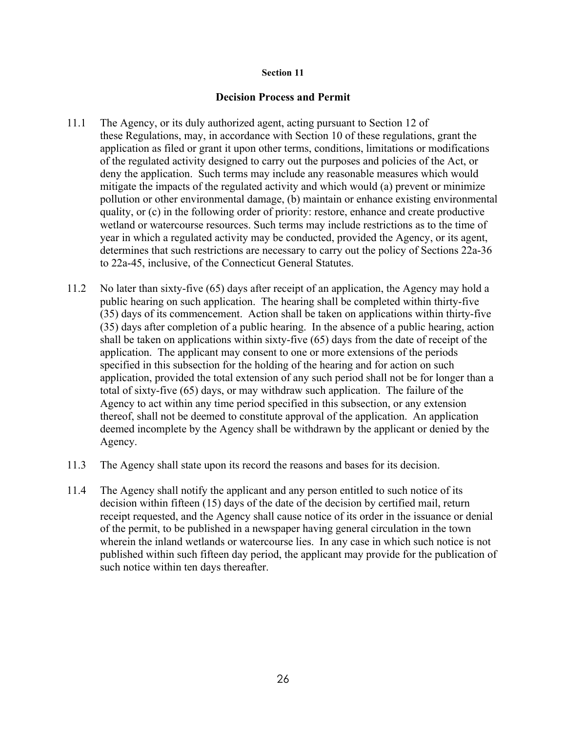#### **Decision Process and Permit**

- 11.1 The Agency, or its duly authorized agent, acting pursuant to Section 12 of these Regulations, may, in accordance with Section 10 of these regulations, grant the application as filed or grant it upon other terms, conditions, limitations or modifications of the regulated activity designed to carry out the purposes and policies of the Act, or deny the application. Such terms may include any reasonable measures which would mitigate the impacts of the regulated activity and which would (a) prevent or minimize pollution or other environmental damage, (b) maintain or enhance existing environmental quality, or (c) in the following order of priority: restore, enhance and create productive wetland or watercourse resources. Such terms may include restrictions as to the time of year in which a regulated activity may be conducted, provided the Agency, or its agent, determines that such restrictions are necessary to carry out the policy of Sections 22a-36 to 22a-45, inclusive, of the Connecticut General Statutes.
- 11.2 No later than sixty-five (65) days after receipt of an application, the Agency may hold a public hearing on such application. The hearing shall be completed within thirty-five (35) days of its commencement. Action shall be taken on applications within thirty-five (35) days after completion of a public hearing. In the absence of a public hearing, action shall be taken on applications within sixty-five (65) days from the date of receipt of the application. The applicant may consent to one or more extensions of the periods specified in this subsection for the holding of the hearing and for action on such application, provided the total extension of any such period shall not be for longer than a total of sixty-five (65) days, or may withdraw such application. The failure of the Agency to act within any time period specified in this subsection, or any extension thereof, shall not be deemed to constitute approval of the application. An application deemed incomplete by the Agency shall be withdrawn by the applicant or denied by the Agency.
- 11.3 The Agency shall state upon its record the reasons and bases for its decision.
- 11.4 The Agency shall notify the applicant and any person entitled to such notice of its decision within fifteen (15) days of the date of the decision by certified mail, return receipt requested, and the Agency shall cause notice of its order in the issuance or denial of the permit, to be published in a newspaper having general circulation in the town wherein the inland wetlands or watercourse lies. In any case in which such notice is not published within such fifteen day period, the applicant may provide for the publication of such notice within ten days thereafter.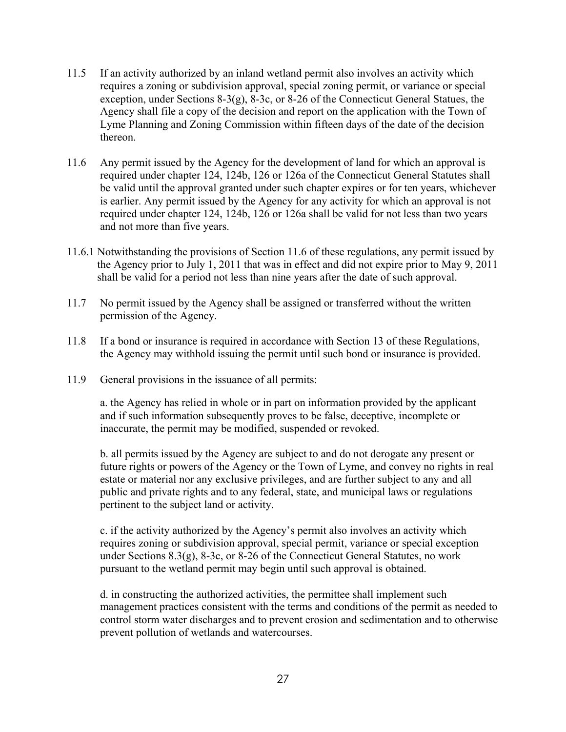- 11.5 If an activity authorized by an inland wetland permit also involves an activity which requires a zoning or subdivision approval, special zoning permit, or variance or special exception, under Sections 8-3(g), 8-3c, or 8-26 of the Connecticut General Statues, the Agency shall file a copy of the decision and report on the application with the Town of Lyme Planning and Zoning Commission within fifteen days of the date of the decision thereon.
- 11.6 Any permit issued by the Agency for the development of land for which an approval is required under chapter 124, 124b, 126 or 126a of the Connecticut General Statutes shall be valid until the approval granted under such chapter expires or for ten years, whichever is earlier. Any permit issued by the Agency for any activity for which an approval is not required under chapter 124, 124b, 126 or 126a shall be valid for not less than two years and not more than five years.
- 11.6.1 Notwithstanding the provisions of Section 11.6 of these regulations, any permit issued by the Agency prior to July 1, 2011 that was in effect and did not expire prior to May 9, 2011 shall be valid for a period not less than nine years after the date of such approval.
- 11.7 No permit issued by the Agency shall be assigned or transferred without the written permission of the Agency.
- 11.8 If a bond or insurance is required in accordance with Section 13 of these Regulations, the Agency may withhold issuing the permit until such bond or insurance is provided.
- 11.9 General provisions in the issuance of all permits:

a. the Agency has relied in whole or in part on information provided by the applicant and if such information subsequently proves to be false, deceptive, incomplete or inaccurate, the permit may be modified, suspended or revoked.

b. all permits issued by the Agency are subject to and do not derogate any present or future rights or powers of the Agency or the Town of Lyme, and convey no rights in real estate or material nor any exclusive privileges, and are further subject to any and all public and private rights and to any federal, state, and municipal laws or regulations pertinent to the subject land or activity.

c. if the activity authorized by the Agency's permit also involves an activity which requires zoning or subdivision approval, special permit, variance or special exception under Sections 8.3(g), 8-3c, or 8-26 of the Connecticut General Statutes, no work pursuant to the wetland permit may begin until such approval is obtained.

d. in constructing the authorized activities, the permittee shall implement such management practices consistent with the terms and conditions of the permit as needed to control storm water discharges and to prevent erosion and sedimentation and to otherwise prevent pollution of wetlands and watercourses.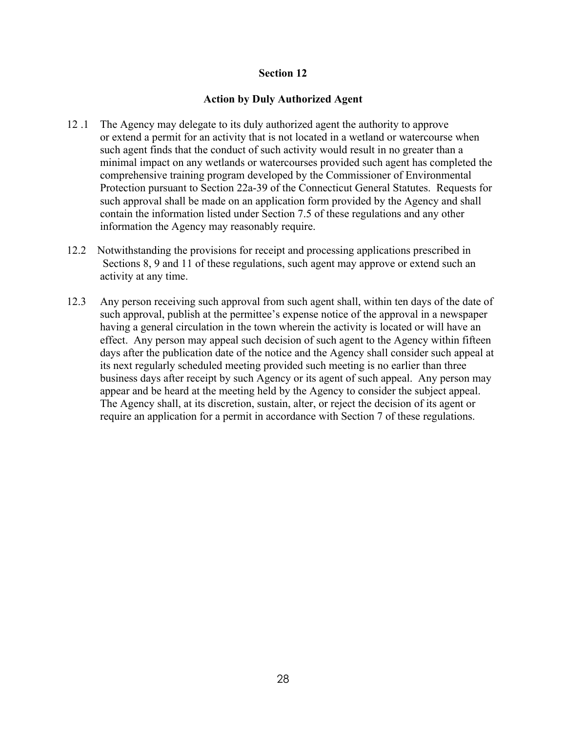# **Action by Duly Authorized Agent**

- 12 .1 The Agency may delegate to its duly authorized agent the authority to approve or extend a permit for an activity that is not located in a wetland or watercourse when such agent finds that the conduct of such activity would result in no greater than a minimal impact on any wetlands or watercourses provided such agent has completed the comprehensive training program developed by the Commissioner of Environmental Protection pursuant to Section 22a-39 of the Connecticut General Statutes. Requests for such approval shall be made on an application form provided by the Agency and shall contain the information listed under Section 7.5 of these regulations and any other information the Agency may reasonably require.
- 12.2 Notwithstanding the provisions for receipt and processing applications prescribed in Sections 8, 9 and 11 of these regulations, such agent may approve or extend such an activity at any time.
- 12.3 Any person receiving such approval from such agent shall, within ten days of the date of such approval, publish at the permittee's expense notice of the approval in a newspaper having a general circulation in the town wherein the activity is located or will have an effect. Any person may appeal such decision of such agent to the Agency within fifteen days after the publication date of the notice and the Agency shall consider such appeal at its next regularly scheduled meeting provided such meeting is no earlier than three business days after receipt by such Agency or its agent of such appeal. Any person may appear and be heard at the meeting held by the Agency to consider the subject appeal. The Agency shall, at its discretion, sustain, alter, or reject the decision of its agent or require an application for a permit in accordance with Section 7 of these regulations.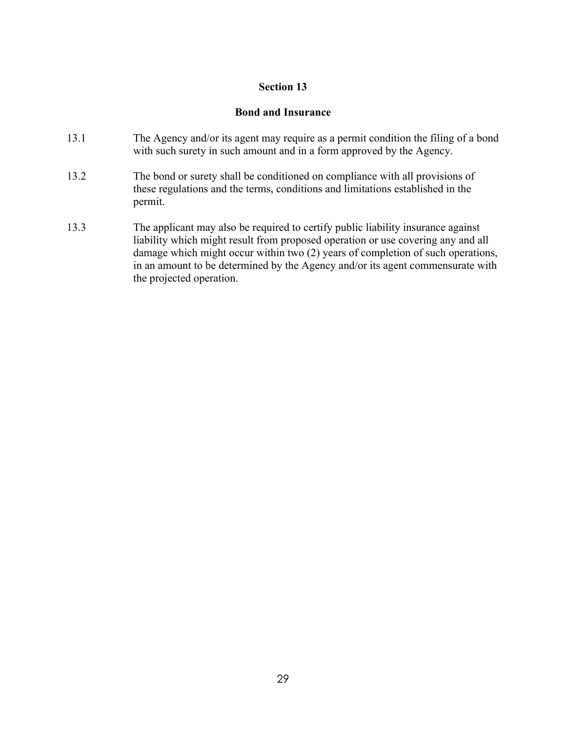# **Bond and Insurance**

- 13.1 The Agency and/or its agent may require as a permit condition the filing of a bond with such surety in such amount and in a form approved by the Agency.
- 13.2 The bond or surety shall be conditioned on compliance with all provisions of these regulations and the terms, conditions and limitations established in the permit.
- 13.3 The applicant may also be required to certify public liability insurance against liability which might result from proposed operation or use covering any and all damage which might occur within two (2) years of completion of such operations, in an amount to be determined by the Agency and/or its agent commensurate with the projected operation.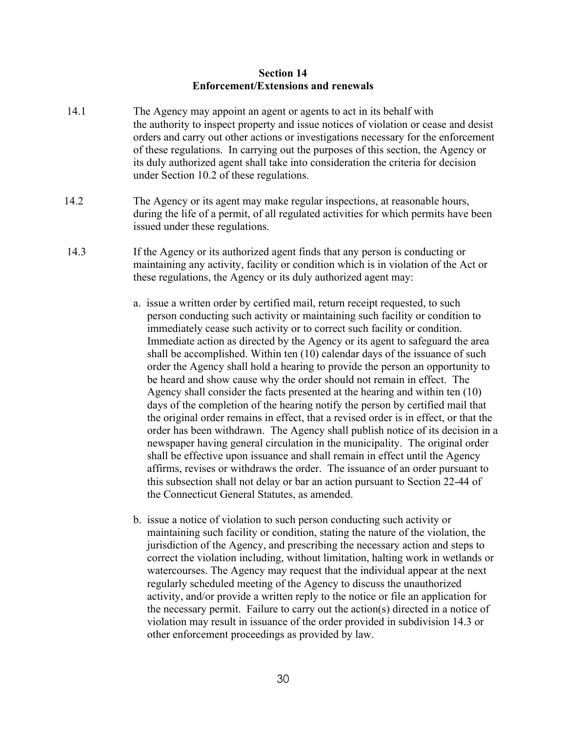#### **Section 14 Enforcement/Extensions and renewals**

- 14.1 The Agency may appoint an agent or agents to act in its behalf with the authority to inspect property and issue notices of violation or cease and desist orders and carry out other actions or investigations necessary for the enforcement of these regulations. In carrying out the purposes of this section, the Agency or its duly authorized agent shall take into consideration the criteria for decision under Section 10.2 of these regulations.
- 14.2 The Agency or its agent may make regular inspections, at reasonable hours, during the life of a permit, of all regulated activities for which permits have been issued under these regulations.
- 14.3 If the Agency or its authorized agent finds that any person is conducting or maintaining any activity, facility or condition which is in violation of the Act or these regulations, the Agency or its duly authorized agent may:
	- a. issue a written order by certified mail, return receipt requested, to such person conducting such activity or maintaining such facility or condition to immediately cease such activity or to correct such facility or condition. Immediate action as directed by the Agency or its agent to safeguard the area shall be accomplished. Within ten (10) calendar days of the issuance of such order the Agency shall hold a hearing to provide the person an opportunity to be heard and show cause why the order should not remain in effect. The Agency shall consider the facts presented at the hearing and within ten (10) days of the completion of the hearing notify the person by certified mail that the original order remains in effect, that a revised order is in effect, or that the order has been withdrawn. The Agency shall publish notice of its decision in a newspaper having general circulation in the municipality. The original order shall be effective upon issuance and shall remain in effect until the Agency affirms, revises or withdraws the order. The issuance of an order pursuant to this subsection shall not delay or bar an action pursuant to Section 22-44 of the Connecticut General Statutes, as amended.
	- b. issue a notice of violation to such person conducting such activity or maintaining such facility or condition, stating the nature of the violation, the jurisdiction of the Agency, and prescribing the necessary action and steps to correct the violation including, without limitation, halting work in wetlands or watercourses. The Agency may request that the individual appear at the next regularly scheduled meeting of the Agency to discuss the unauthorized activity, and/or provide a written reply to the notice or file an application for the necessary permit. Failure to carry out the action(s) directed in a notice of violation may result in issuance of the order provided in subdivision 14.3 or other enforcement proceedings as provided by law.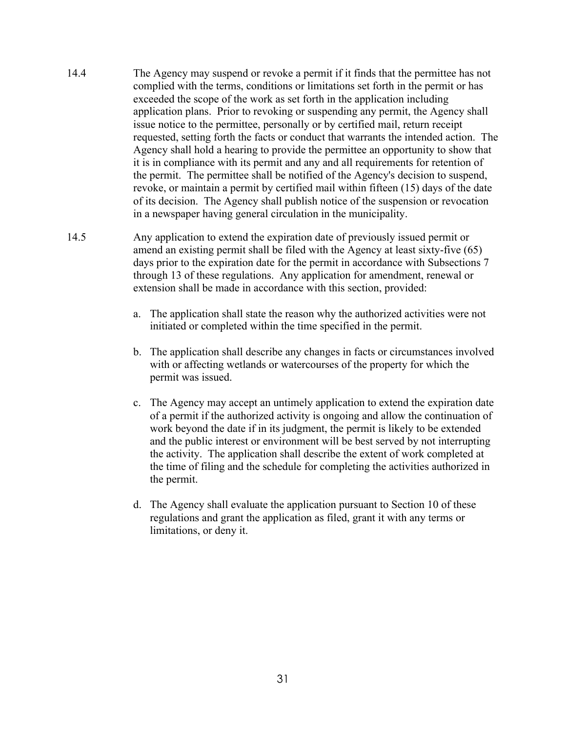- 14.4 The Agency may suspend or revoke a permit if it finds that the permittee has not complied with the terms, conditions or limitations set forth in the permit or has exceeded the scope of the work as set forth in the application including application plans. Prior to revoking or suspending any permit, the Agency shall issue notice to the permittee, personally or by certified mail, return receipt requested, setting forth the facts or conduct that warrants the intended action. The Agency shall hold a hearing to provide the permittee an opportunity to show that it is in compliance with its permit and any and all requirements for retention of the permit. The permittee shall be notified of the Agency's decision to suspend, revoke, or maintain a permit by certified mail within fifteen (15) days of the date of its decision. The Agency shall publish notice of the suspension or revocation in a newspaper having general circulation in the municipality.
- 14.5 Any application to extend the expiration date of previously issued permit or amend an existing permit shall be filed with the Agency at least sixty-five (65) days prior to the expiration date for the permit in accordance with Subsections 7 through 13 of these regulations. Any application for amendment, renewal or extension shall be made in accordance with this section, provided:
	- a. The application shall state the reason why the authorized activities were not initiated or completed within the time specified in the permit.
	- b. The application shall describe any changes in facts or circumstances involved with or affecting wetlands or watercourses of the property for which the permit was issued.
	- c. The Agency may accept an untimely application to extend the expiration date of a permit if the authorized activity is ongoing and allow the continuation of work beyond the date if in its judgment, the permit is likely to be extended and the public interest or environment will be best served by not interrupting the activity. The application shall describe the extent of work completed at the time of filing and the schedule for completing the activities authorized in the permit.
	- d. The Agency shall evaluate the application pursuant to Section 10 of these regulations and grant the application as filed, grant it with any terms or limitations, or deny it.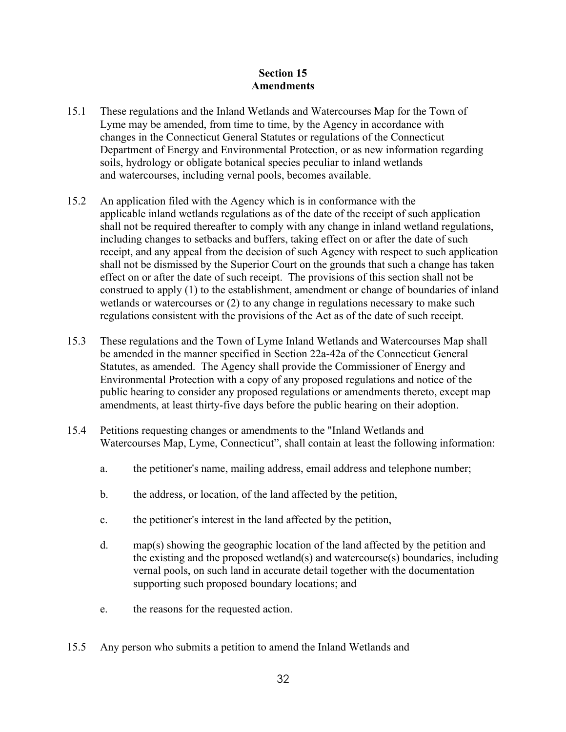# **Section 15 Amendments**

- 15.1 These regulations and the Inland Wetlands and Watercourses Map for the Town of Lyme may be amended, from time to time, by the Agency in accordance with changes in the Connecticut General Statutes or regulations of the Connecticut Department of Energy and Environmental Protection, or as new information regarding soils, hydrology or obligate botanical species peculiar to inland wetlands and watercourses, including vernal pools, becomes available.
- 15.2 An application filed with the Agency which is in conformance with the applicable inland wetlands regulations as of the date of the receipt of such application shall not be required thereafter to comply with any change in inland wetland regulations, including changes to setbacks and buffers, taking effect on or after the date of such receipt, and any appeal from the decision of such Agency with respect to such application shall not be dismissed by the Superior Court on the grounds that such a change has taken effect on or after the date of such receipt. The provisions of this section shall not be construed to apply (1) to the establishment, amendment or change of boundaries of inland wetlands or watercourses or (2) to any change in regulations necessary to make such regulations consistent with the provisions of the Act as of the date of such receipt.
- 15.3 These regulations and the Town of Lyme Inland Wetlands and Watercourses Map shall be amended in the manner specified in Section 22a-42a of the Connecticut General Statutes, as amended. The Agency shall provide the Commissioner of Energy and Environmental Protection with a copy of any proposed regulations and notice of the public hearing to consider any proposed regulations or amendments thereto, except map amendments, at least thirty-five days before the public hearing on their adoption.
- 15.4 Petitions requesting changes or amendments to the "Inland Wetlands and Watercourses Map, Lyme, Connecticut", shall contain at least the following information:
	- a. the petitioner's name, mailing address, email address and telephone number;
	- b. the address, or location, of the land affected by the petition,
	- c. the petitioner's interest in the land affected by the petition,
	- d. map(s) showing the geographic location of the land affected by the petition and the existing and the proposed wetland(s) and watercourse(s) boundaries, including vernal pools, on such land in accurate detail together with the documentation supporting such proposed boundary locations; and
	- e. the reasons for the requested action.
- 15.5 Any person who submits a petition to amend the Inland Wetlands and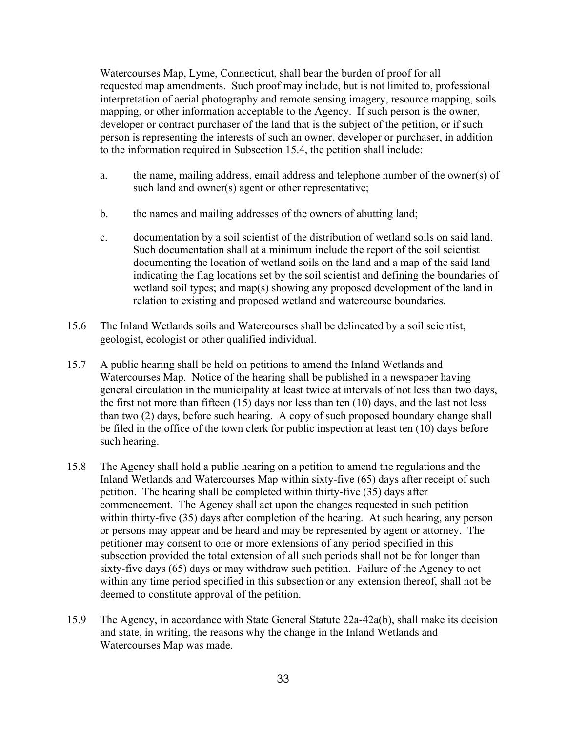Watercourses Map, Lyme, Connecticut, shall bear the burden of proof for all requested map amendments. Such proof may include, but is not limited to, professional interpretation of aerial photography and remote sensing imagery, resource mapping, soils mapping, or other information acceptable to the Agency. If such person is the owner, developer or contract purchaser of the land that is the subject of the petition, or if such person is representing the interests of such an owner, developer or purchaser, in addition to the information required in Subsection 15.4, the petition shall include:

- a. the name, mailing address, email address and telephone number of the owner(s) of such land and owner(s) agent or other representative;
- b. the names and mailing addresses of the owners of abutting land;
- c. documentation by a soil scientist of the distribution of wetland soils on said land. Such documentation shall at a minimum include the report of the soil scientist documenting the location of wetland soils on the land and a map of the said land indicating the flag locations set by the soil scientist and defining the boundaries of wetland soil types; and map(s) showing any proposed development of the land in relation to existing and proposed wetland and watercourse boundaries.
- 15.6 The Inland Wetlands soils and Watercourses shall be delineated by a soil scientist, geologist, ecologist or other qualified individual.
- 15.7 A public hearing shall be held on petitions to amend the Inland Wetlands and Watercourses Map. Notice of the hearing shall be published in a newspaper having general circulation in the municipality at least twice at intervals of not less than two days, the first not more than fifteen (15) days nor less than ten (10) days, and the last not less than two (2) days, before such hearing. A copy of such proposed boundary change shall be filed in the office of the town clerk for public inspection at least ten (10) days before such hearing.
- 15.8 The Agency shall hold a public hearing on a petition to amend the regulations and the Inland Wetlands and Watercourses Map within sixty-five (65) days after receipt of such petition. The hearing shall be completed within thirty-five (35) days after commencement. The Agency shall act upon the changes requested in such petition within thirty-five (35) days after completion of the hearing. At such hearing, any person or persons may appear and be heard and may be represented by agent or attorney. The petitioner may consent to one or more extensions of any period specified in this subsection provided the total extension of all such periods shall not be for longer than sixty-five days (65) days or may withdraw such petition. Failure of the Agency to act within any time period specified in this subsection or any extension thereof, shall not be deemed to constitute approval of the petition.
- 15.9 The Agency, in accordance with State General Statute 22a-42a(b), shall make its decision and state, in writing, the reasons why the change in the Inland Wetlands and Watercourses Map was made.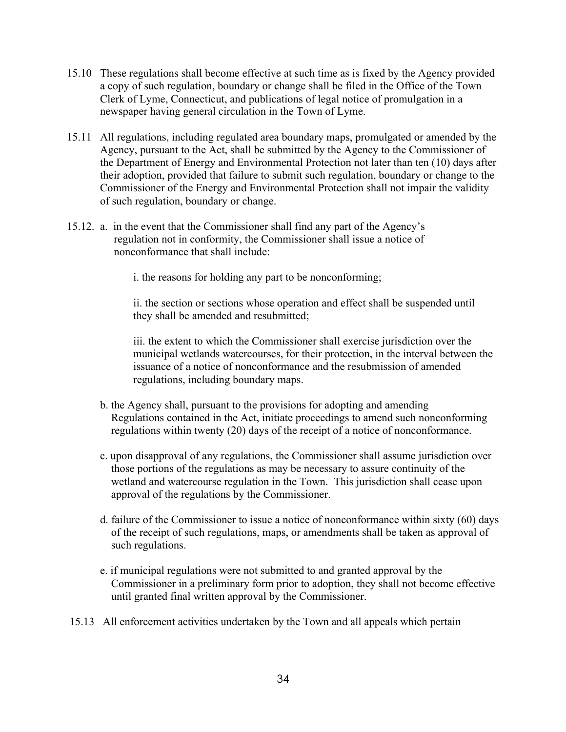- 15.10 These regulations shall become effective at such time as is fixed by the Agency provided a copy of such regulation, boundary or change shall be filed in the Office of the Town Clerk of Lyme, Connecticut, and publications of legal notice of promulgation in a newspaper having general circulation in the Town of Lyme.
- 15.11 All regulations, including regulated area boundary maps, promulgated or amended by the Agency, pursuant to the Act, shall be submitted by the Agency to the Commissioner of the Department of Energy and Environmental Protection not later than ten (10) days after their adoption, provided that failure to submit such regulation, boundary or change to the Commissioner of the Energy and Environmental Protection shall not impair the validity of such regulation, boundary or change.
- 15.12. a. in the event that the Commissioner shall find any part of the Agency's regulation not in conformity, the Commissioner shall issue a notice of nonconformance that shall include:

i. the reasons for holding any part to be nonconforming;

ii. the section or sections whose operation and effect shall be suspended until they shall be amended and resubmitted;

iii. the extent to which the Commissioner shall exercise jurisdiction over the municipal wetlands watercourses, for their protection, in the interval between the issuance of a notice of nonconformance and the resubmission of amended regulations, including boundary maps.

- b. the Agency shall, pursuant to the provisions for adopting and amending Regulations contained in the Act, initiate proceedings to amend such nonconforming regulations within twenty (20) days of the receipt of a notice of nonconformance.
- c. upon disapproval of any regulations, the Commissioner shall assume jurisdiction over those portions of the regulations as may be necessary to assure continuity of the wetland and watercourse regulation in the Town. This jurisdiction shall cease upon approval of the regulations by the Commissioner.
- d. failure of the Commissioner to issue a notice of nonconformance within sixty (60) days of the receipt of such regulations, maps, or amendments shall be taken as approval of such regulations.
- e. if municipal regulations were not submitted to and granted approval by the Commissioner in a preliminary form prior to adoption, they shall not become effective until granted final written approval by the Commissioner.
- 15.13 All enforcement activities undertaken by the Town and all appeals which pertain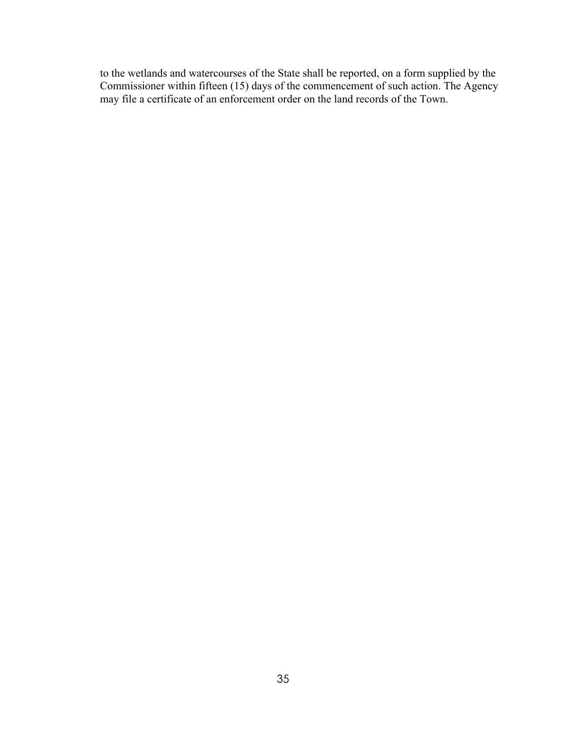to the wetlands and watercourses of the State shall be reported, on a form supplied by the Commissioner within fifteen (15) days of the commencement of such action. The Agency may file a certificate of an enforcement order on the land records of the Town.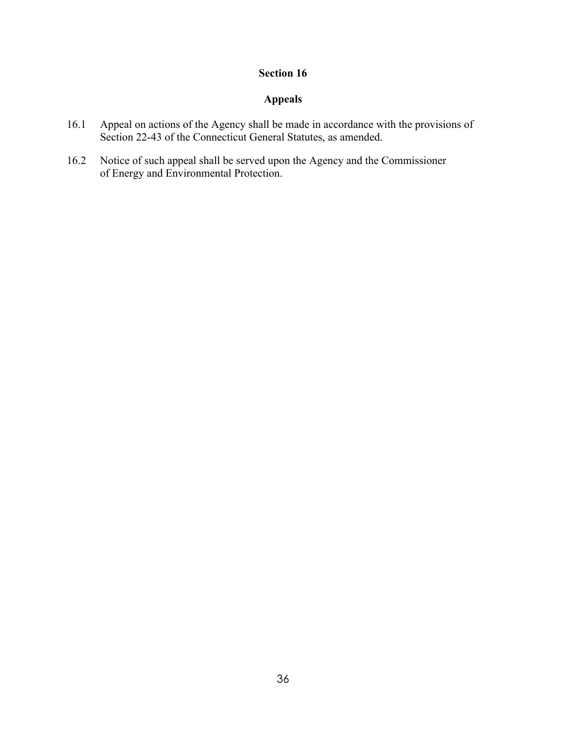# **Appeals**

- 16.1 Appeal on actions of the Agency shall be made in accordance with the provisions of Section 22-43 of the Connecticut General Statutes, as amended.
- 16.2 Notice of such appeal shall be served upon the Agency and the Commissioner of Energy and Environmental Protection.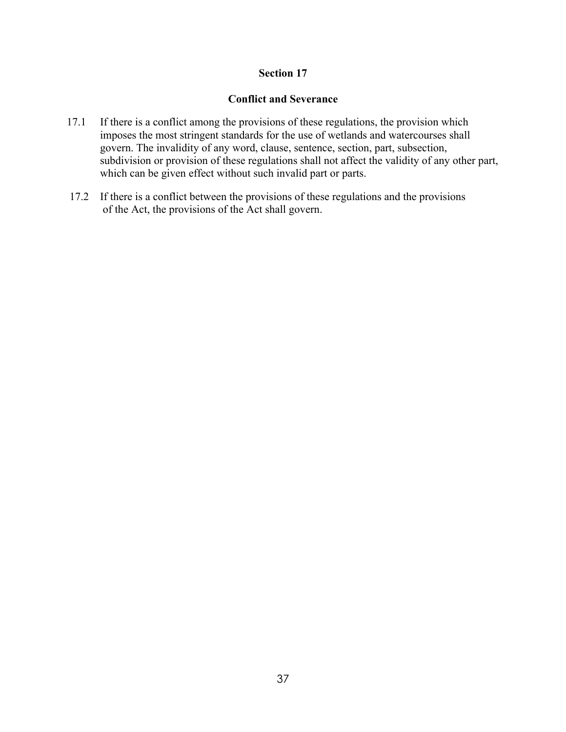# **Conflict and Severance**

- 17.1 If there is a conflict among the provisions of these regulations, the provision which imposes the most stringent standards for the use of wetlands and watercourses shall govern. The invalidity of any word, clause, sentence, section, part, subsection, subdivision or provision of these regulations shall not affect the validity of any other part, which can be given effect without such invalid part or parts.
- 17.2 If there is a conflict between the provisions of these regulations and the provisions of the Act, the provisions of the Act shall govern.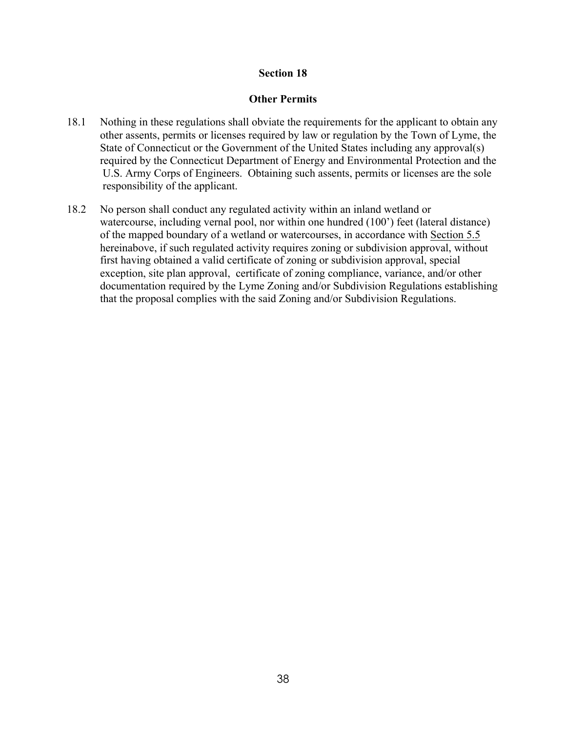#### **Other Permits**

- 18.1 Nothing in these regulations shall obviate the requirements for the applicant to obtain any other assents, permits or licenses required by law or regulation by the Town of Lyme, the State of Connecticut or the Government of the United States including any approval(s) required by the Connecticut Department of Energy and Environmental Protection and the U.S. Army Corps of Engineers. Obtaining such assents, permits or licenses are the sole responsibility of the applicant.
- 18.2 No person shall conduct any regulated activity within an inland wetland or watercourse, including vernal pool, nor within one hundred (100') feet (lateral distance) of the mapped boundary of a wetland or watercourses, in accordance with Section 5.5 hereinabove, if such regulated activity requires zoning or subdivision approval, without first having obtained a valid certificate of zoning or subdivision approval, special exception, site plan approval, certificate of zoning compliance, variance, and/or other documentation required by the Lyme Zoning and/or Subdivision Regulations establishing that the proposal complies with the said Zoning and/or Subdivision Regulations.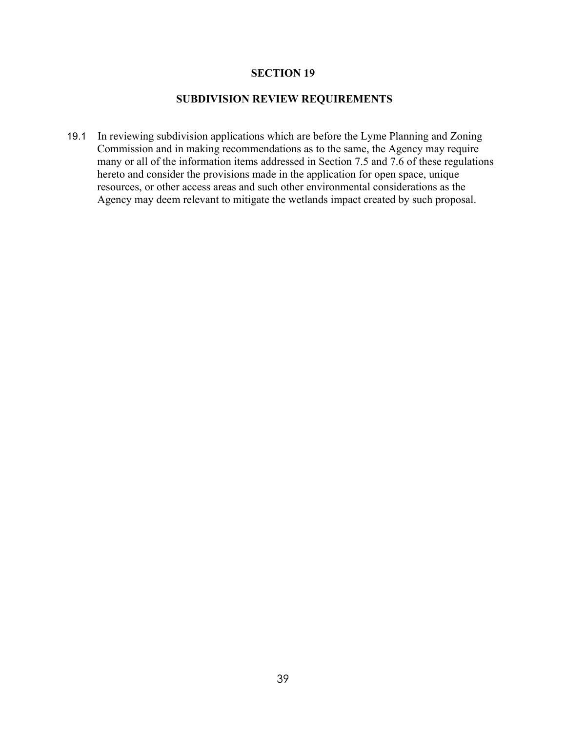### **SECTION 19**

# **SUBDIVISION REVIEW REQUIREMENTS**

19.1 In reviewing subdivision applications which are before the Lyme Planning and Zoning Commission and in making recommendations as to the same, the Agency may require many or all of the information items addressed in Section 7.5 and 7.6 of these regulations hereto and consider the provisions made in the application for open space, unique resources, or other access areas and such other environmental considerations as the Agency may deem relevant to mitigate the wetlands impact created by such proposal.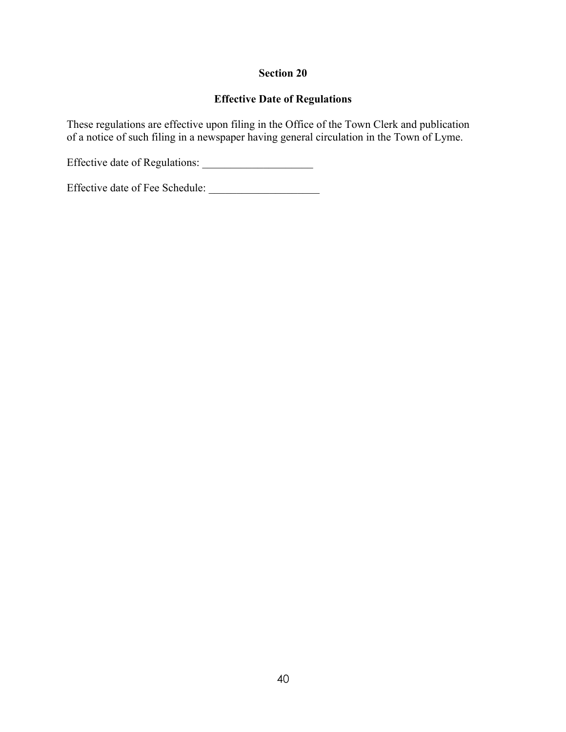# **Effective Date of Regulations**

These regulations are effective upon filing in the Office of the Town Clerk and publication of a notice of such filing in a newspaper having general circulation in the Town of Lyme.

Effective date of Regulations: \_\_\_\_\_\_\_\_\_\_\_\_\_\_\_\_\_\_\_\_

Effective date of Fee Schedule: \_\_\_\_\_\_\_\_\_\_\_\_\_\_\_\_\_\_\_\_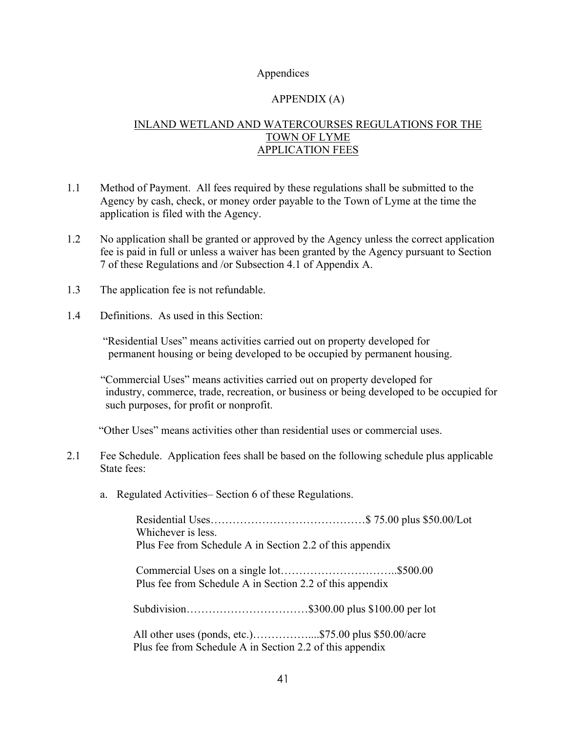# Appendices

# APPENDIX (A)

# INLAND WETLAND AND WATERCOURSES REGULATIONS FOR THE TOWN OF LYME APPLICATION FEES

- 1.1 Method of Payment. All fees required by these regulations shall be submitted to the Agency by cash, check, or money order payable to the Town of Lyme at the time the application is filed with the Agency.
- 1.2 No application shall be granted or approved by the Agency unless the correct application fee is paid in full or unless a waiver has been granted by the Agency pursuant to Section 7 of these Regulations and /or Subsection 4.1 of Appendix A.
- 1.3 The application fee is not refundable.
- 1.4 Definitions. As used in this Section:

"Residential Uses" means activities carried out on property developed for permanent housing or being developed to be occupied by permanent housing.

"Commercial Uses" means activities carried out on property developed for industry, commerce, trade, recreation, or business or being developed to be occupied for such purposes, for profit or nonprofit.

"Other Uses" means activities other than residential uses or commercial uses.

- 2.1 Fee Schedule. Application fees shall be based on the following schedule plus applicable State fees:
	- a. Regulated Activities– Section 6 of these Regulations.

| Whichever is less. |                                                          |  |
|--------------------|----------------------------------------------------------|--|
|                    | Plus Fee from Schedule A in Section 2.2 of this appendix |  |
|                    | Plus fee from Schedule A in Section 2.2 of this appendix |  |
|                    |                                                          |  |
|                    | Plus fee from Schedule A in Section 2.2 of this appendix |  |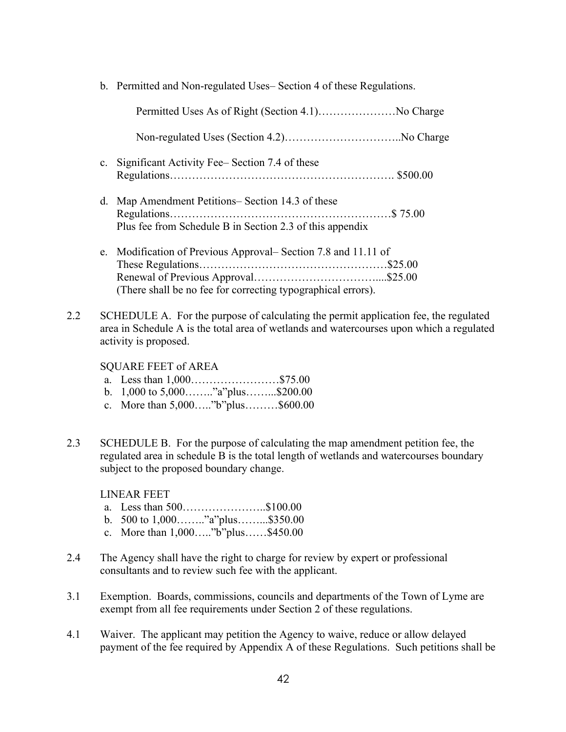b. Permitted and Non-regulated Uses– Section 4 of these Regulations.

|     | $\mathbf{c}$ . | Significant Activity Fee–Section 7.4 of these                                                                                                                                                                        |  |
|-----|----------------|----------------------------------------------------------------------------------------------------------------------------------------------------------------------------------------------------------------------|--|
|     | d.             | Map Amendment Petitions– Section 14.3 of these<br>Plus fee from Schedule B in Section 2.3 of this appendix                                                                                                           |  |
|     |                | e. Modification of Previous Approval-Section 7.8 and 11.11 of<br>(There shall be no fee for correcting typographical errors).                                                                                        |  |
| 2.2 |                | SCHEDULE A. For the purpose of calculating the permit application fee, the regulated<br>area in Schedule A is the total area of wetlands and watercourses upon which a regulated<br>activity is proposed.            |  |
|     |                | <b>SQUARE FEET of AREA</b><br>a. Less than 1,000\$75.00<br>b. 1,000 to 5,000"a"plus\$200.00<br>c. More than 5,000"b"plus\$600.00                                                                                     |  |
| 2.3 |                | SCHEDULE B. For the purpose of calculating the map amendment petition fee, the<br>regulated area in schedule B is the total length of wetlands and watercourses boundary<br>subject to the proposed boundary change. |  |

LINEAR FEET

- a. Less than 500…………………..\$100.00
- b. 500 to 1,000…….."a"plus……...\$350.00
- c. More than 1,000….."b"plus……\$450.00
- 2.4 The Agency shall have the right to charge for review by expert or professional consultants and to review such fee with the applicant.
- 3.1 Exemption. Boards, commissions, councils and departments of the Town of Lyme are exempt from all fee requirements under Section 2 of these regulations.
- 4.1 Waiver. The applicant may petition the Agency to waive, reduce or allow delayed payment of the fee required by Appendix A of these Regulations. Such petitions shall be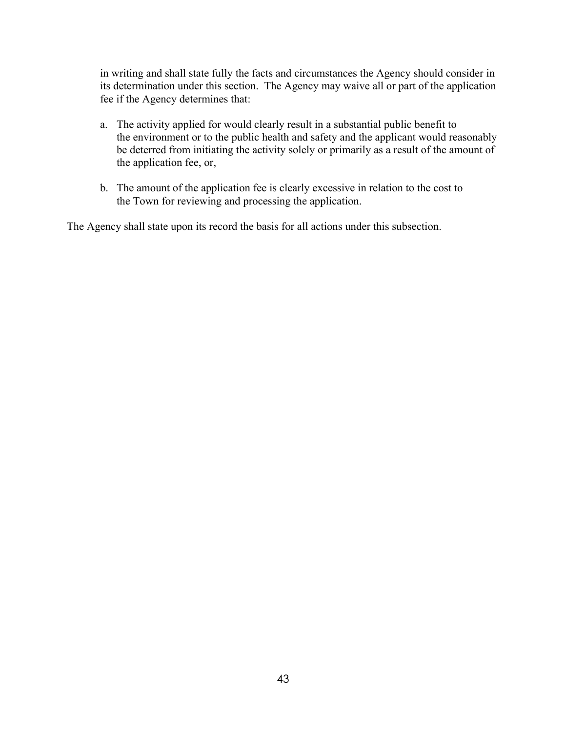in writing and shall state fully the facts and circumstances the Agency should consider in its determination under this section. The Agency may waive all or part of the application fee if the Agency determines that:

- a. The activity applied for would clearly result in a substantial public benefit to the environment or to the public health and safety and the applicant would reasonably be deterred from initiating the activity solely or primarily as a result of the amount of the application fee, or,
- b. The amount of the application fee is clearly excessive in relation to the cost to the Town for reviewing and processing the application.

The Agency shall state upon its record the basis for all actions under this subsection.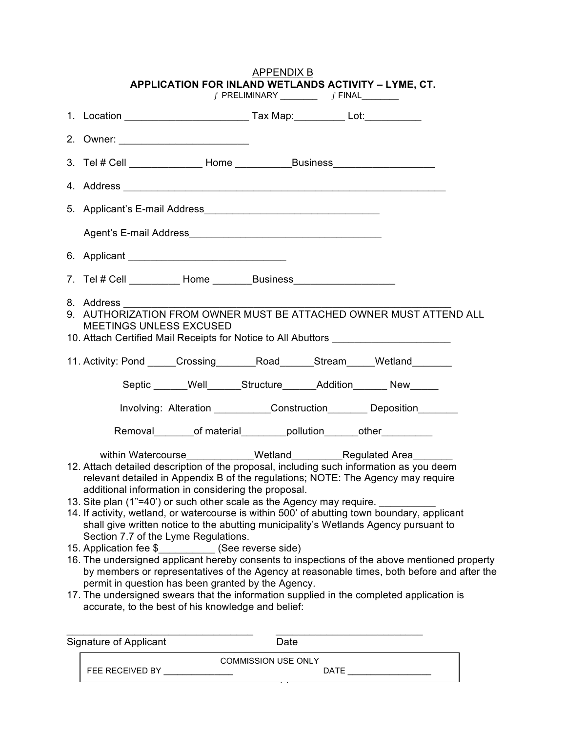|                                                                                                                                                                                                                                | APPENDIX B                    |                                                                                                                                                                                                                                                                                                                                                                     |  |
|--------------------------------------------------------------------------------------------------------------------------------------------------------------------------------------------------------------------------------|-------------------------------|---------------------------------------------------------------------------------------------------------------------------------------------------------------------------------------------------------------------------------------------------------------------------------------------------------------------------------------------------------------------|--|
|                                                                                                                                                                                                                                | $f$ PRELIMINARY $f$ FINAL $f$ | APPLICATION FOR INLAND WETLANDS ACTIVITY - LYME, CT.                                                                                                                                                                                                                                                                                                                |  |
|                                                                                                                                                                                                                                |                               |                                                                                                                                                                                                                                                                                                                                                                     |  |
|                                                                                                                                                                                                                                |                               |                                                                                                                                                                                                                                                                                                                                                                     |  |
|                                                                                                                                                                                                                                |                               |                                                                                                                                                                                                                                                                                                                                                                     |  |
|                                                                                                                                                                                                                                |                               |                                                                                                                                                                                                                                                                                                                                                                     |  |
|                                                                                                                                                                                                                                |                               |                                                                                                                                                                                                                                                                                                                                                                     |  |
|                                                                                                                                                                                                                                |                               |                                                                                                                                                                                                                                                                                                                                                                     |  |
|                                                                                                                                                                                                                                |                               |                                                                                                                                                                                                                                                                                                                                                                     |  |
| 7. Tel # Cell __________ Home _________Business ________________________________                                                                                                                                               |                               |                                                                                                                                                                                                                                                                                                                                                                     |  |
| 8. Address<br><b>MEETINGS UNLESS EXCUSED</b>                                                                                                                                                                                   |                               | 9. AUTHORIZATION FROM OWNER MUST BE ATTACHED OWNER MUST ATTEND ALL<br>10. Attach Certified Mail Receipts for Notice to All Abuttors                                                                                                                                                                                                                                 |  |
|                                                                                                                                                                                                                                |                               | 11. Activity: Pond _____Crossing _________ Road _______Stream _____Wetland _______                                                                                                                                                                                                                                                                                  |  |
|                                                                                                                                                                                                                                |                               | Septic ______Well______Structure______Addition______New_____                                                                                                                                                                                                                                                                                                        |  |
|                                                                                                                                                                                                                                |                               | Involving: Alteration ____________Construction__________Deposition_________                                                                                                                                                                                                                                                                                         |  |
|                                                                                                                                                                                                                                |                               | Removal__________of material___________pollution________other____________                                                                                                                                                                                                                                                                                           |  |
| additional information in considering the proposal.<br>13. Site plan (1"=40') or such other scale as the Agency may require.<br>Section 7.7 of the Lyme Regulations.<br>15. Application fee \$_____________ (See reverse side) |                               | 12. Attach detailed description of the proposal, including such information as you deem<br>relevant detailed in Appendix B of the regulations; NOTE: The Agency may require<br>14. If activity, wetland, or watercourse is within 500' of abutting town boundary, applicant<br>shall give written notice to the abutting municipality's Wetlands Agency pursuant to |  |
| permit in question has been granted by the Agency.<br>accurate, to the best of his knowledge and belief:                                                                                                                       |                               | 16. The undersigned applicant hereby consents to inspections of the above mentioned property<br>by members or representatives of the Agency at reasonable times, both before and after the<br>17. The undersigned swears that the information supplied in the completed application is                                                                              |  |

| Signature of Applicant |                 | Date                       |  |
|------------------------|-----------------|----------------------------|--|
|                        |                 | <b>COMMISSION USE ONLY</b> |  |
|                        | FEE RECEIVED BY | DATF                       |  |